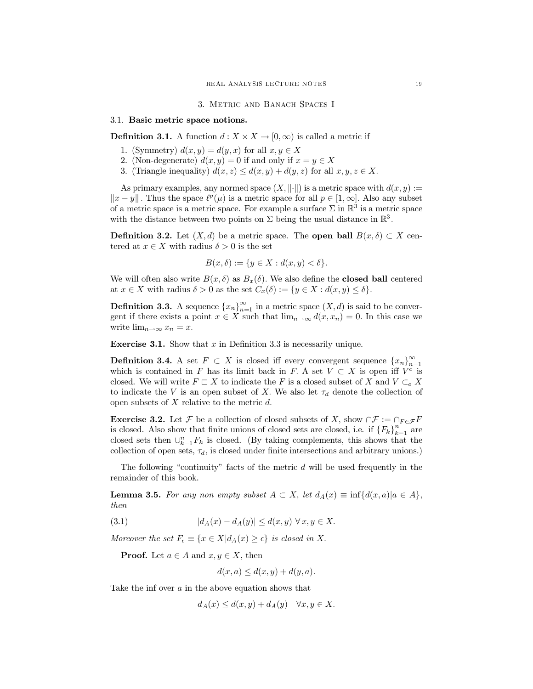3. METRIC AND BANACH SPACES I

### 3.1. Basic metric space notions.

**Definition 3.1.** A function  $d: X \times X \to [0, \infty)$  is called a metric if

- 1. (Symmetry)  $d(x, y) = d(y, x)$  for all  $x, y \in X$
- 2. (Non-degenerate)  $d(x, y) = 0$  if and only if  $x = y \in X$
- 3. (Triangle inequality)  $d(x, z) \leq d(x, y) + d(y, z)$  for all  $x, y, z \in X$ .

As primary examples, any normed space  $(X, \|\cdot\|)$  is a metric space with  $d(x, y) :=$  $||x-y||$ . Thus the space  $\ell^p(\mu)$  is a metric space for all  $p \in [1,\infty]$ . Also any subset of a metric space is a metric space. For example a surface  $\Sigma$  in  $\mathbb{R}^3$  is a metric space with the distance between two points on  $\Sigma$  being the usual distance in  $\mathbb{R}^3$ .

**Definition 3.2.** Let  $(X, d)$  be a metric space. The **open ball**  $B(x, \delta) \subset X$  centered at  $x \in X$  with radius  $\delta > 0$  is the set

$$
B(x,\delta) := \{ y \in X : d(x,y) < \delta \}.
$$

We will often also write  $B(x, \delta)$  as  $B_x(\delta)$ . We also define the **closed ball** centered at  $x \in X$  with radius  $\delta > 0$  as the set  $C_x(\delta) := \{y \in X : d(x, y) \leq \delta\}.$ 

**Definition 3.3.** A sequence  $\{x_n\}_{n=1}^{\infty}$  in a metric space  $(X, d)$  is said to be convergent if there exists a point  $x \in X$  such that  $\lim_{n \to \infty} d(x, x_n) = 0$ . In this case we write  $\lim_{n\to\infty} x_n = x$ .

**Exercise 3.1.** Show that  $x$  in Definition 3.3 is necessarily unique.

**Definition 3.4.** A set  $F \subset X$  is closed iff every convergent sequence  $\{x_n\}_{n=1}^{\infty}$ which is contained in F has its limit back in F. A set  $V \subset X$  is open iff  $V^c$  is closed. We will write  $F \sqsubset X$  to indicate the F is a closed subset of X and  $V \subset_{\alpha} X$ to indicate the V is an open subset of X. We also let  $\tau_d$  denote the collection of open subsets of  $X$  relative to the metric  $d$ .

**Exercise 3.2.** Let F be a collection of closed subsets of X, show  $\cap \mathcal{F} := \cap_{F \in \mathcal{F}} F$ is closed. Also show that finite unions of closed sets are closed, i.e. if  ${F_k}_{k=1}^n$  are closed sets then  $\bigcup_{k=1}^{n} F_k$  is closed. (By taking complements, this shows that the collection of open sets,  $\tau_d$ , is closed under finite intersections and arbitrary unions.)

The following "continuity" facts of the metric  $d$  will be used frequently in the remainder of this book.

**Lemma 3.5.** For any non empty subset  $A \subset X$ , let  $d_A(x) \equiv \inf \{d(x,a) | a \in A\}$ , then

$$
(3.1) \t\t\t |d_A(x) - d_A(y)| \le d(x, y) \forall x, y \in X.
$$

Moreover the set  $F_{\epsilon} \equiv \{x \in X | d_A(x) \geq \epsilon\}$  is closed in X.

**Proof.** Let  $a \in A$  and  $x, y \in X$ , then

$$
d(x, a) \le d(x, y) + d(y, a).
$$

Take the inf over  $a$  in the above equation shows that

$$
d_A(x) \le d(x, y) + d_A(y) \quad \forall x, y \in X.
$$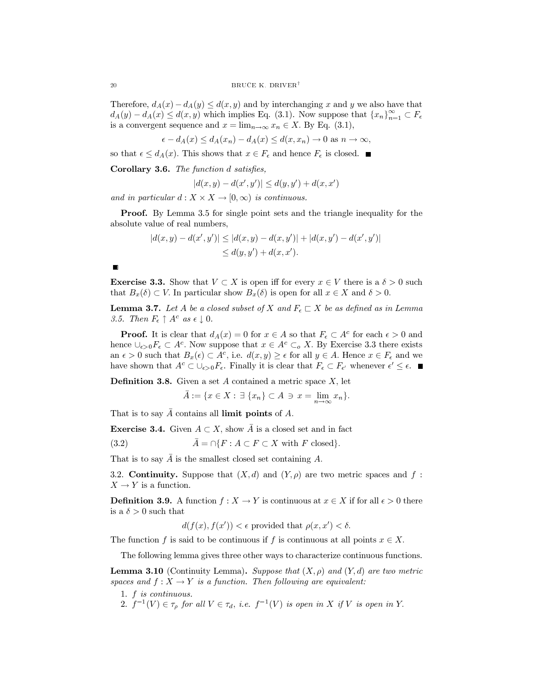Therefore,  $d_A(x) - d_A(y) \leq d(x, y)$  and by interchanging x and y we also have that  $d_A(y) - d_A(x) \leq d(x, y)$  which implies Eq. (3.1). Now suppose that  $\{x_n\}_{n=1}^{\infty} \subset F_{\epsilon}$ is a convergent sequence and  $x = \lim_{n \to \infty} x_n \in X$ . By Eq. (3.1),

 $\epsilon - d_A(x) \leq d_A(x_n) - d_A(x) \leq d(x, x_n) \to 0$  as  $n \to \infty$ ,

so that  $\epsilon \leq d_A(x)$ . This shows that  $x \in F_{\epsilon}$  and hence  $F_{\epsilon}$  is closed.

**Corollary 3.6.** The function d satisfies,

 $|d(x, y) - d(x', y')| \leq d(y, y') + d(x, x')$ 

and in particular  $d: X \times X \to [0, \infty)$  is continuous.

**Proof.** By Lemma 3.5 for single point sets and the triangle inequality for the absolute value of real numbers,

$$
|d(x,y) - d(x',y')| \le |d(x,y) - d(x,y')| + |d(x,y') - d(x',y')|
$$
  

$$
\le d(y,y') + d(x,x').
$$

**Exercise 3.3.** Show that  $V \subset X$  is open iff for every  $x \in V$  there is a  $\delta > 0$  such that  $B_x(\delta) \subset V$ . In particular show  $B_x(\delta)$  is open for all  $x \in X$  and  $\delta > 0$ .

**Lemma 3.7.** Let A be a closed subset of X and  $F_{\epsilon} \subset X$  be as defined as in Lemma 3.5. Then  $F_{\epsilon} \uparrow A^c$  as  $\epsilon \downarrow 0$ .

**Proof.** It is clear that  $d_A(x) = 0$  for  $x \in A$  so that  $F_{\epsilon} \subset A^c$  for each  $\epsilon > 0$  and hence  $\cup_{\epsilon>0} F_{\epsilon} \subset A^c$ . Now suppose that  $x \in A^c \subset_{\rho} X$ . By Exercise 3.3 there exists an  $\epsilon > 0$  such that  $B_x(\epsilon) \subset A^c$ , i.e.  $d(x, y) \geq \epsilon$  for all  $y \in A$ . Hence  $x \in F_{\epsilon}$  and we have shown that  $A^c \subset \bigcup_{\epsilon > 0} F_{\epsilon}$ . Finally it is clear that  $F_{\epsilon} \subset F_{\epsilon'}$  whenever  $\epsilon' \leq \epsilon$ .

**Definition 3.8.** Given a set A contained a metric space  $X$ , let

 $\overline{A} := \{x \in X : \exists \{x_n\} \subset A \ni x = \lim_{n \to \infty} x_n\}.$ 

That is to say  $\bar{A}$  contains all limit points of A.

**Exercise 3.4.** Given  $A \subset X$ , show  $\overline{A}$  is a closed set and in fact

 $\overline{A} = \bigcap \{F : A \subset F \subset X \text{ with } F \text{ closed}\}.$  $(3.2)$ 

That is to say  $\bar{A}$  is the smallest closed set containing A.

3.2. Continuity. Suppose that  $(X,d)$  and  $(Y,\rho)$  are two metric spaces and f:  $X \to Y$  is a function.

**Definition 3.9.** A function  $f: X \to Y$  is continuous at  $x \in X$  if for all  $\epsilon > 0$  there is a  $\delta > 0$  such that

$$
d(f(x), f(x')) < \epsilon
$$
 provided that  $\rho(x, x') < \delta$ .

The function f is said to be continuous if f is continuous at all points  $x \in X$ .

The following lemma gives three other ways to characterize continuous functions.

**Lemma 3.10** (Continuity Lemma). Suppose that  $(X, \rho)$  and  $(Y, d)$  are two metric spaces and  $f: X \to Y$  is a function. Then following are equivalent:

1.  $f$  is continuous.

2.  $f^{-1}(V) \in \tau_{\rho}$  for all  $V \in \tau_d$ , i.e.  $f^{-1}(V)$  is open in X if V is open in Y.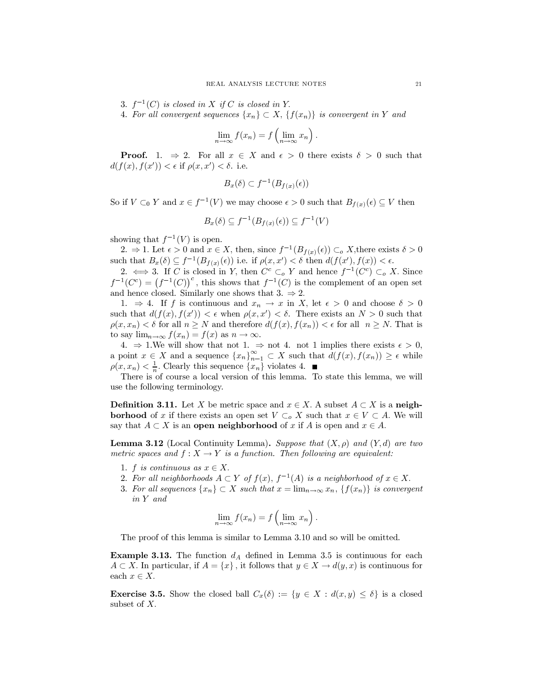- 3.  $f^{-1}(C)$  is closed in X if C is closed in Y.
- 4. For all convergent sequences  $\{x_n\} \subset X$ ,  $\{f(x_n)\}\$ is convergent in Y and

$$
\lim_{n \to \infty} f(x_n) = f\left(\lim_{n \to \infty} x_n\right).
$$

**Proof.** 1.  $\Rightarrow$  2. For all  $x \in X$  and  $\epsilon > 0$  there exists  $\delta > 0$  such that  $d(f(x), f(x')) < \epsilon$  if  $\rho(x, x') < \delta$ , i.e.

$$
B_x(\delta)\subset f^{-1}(B_{f(x)}(\epsilon))
$$

So if  $V \subset_0 Y$  and  $x \in f^{-1}(V)$  we may choose  $\epsilon > 0$  such that  $B_{f(x)}(\epsilon) \subseteq V$  then

$$
B_x(\delta) \subseteq f^{-1}(B_{f(x)}(\epsilon)) \subseteq f^{-1}(V)
$$

showing that  $f^{-1}(V)$  is open.

2.  $\Rightarrow$  1. Let  $\epsilon > 0$  and  $x \in X$ , then, since  $f^{-1}(B_{f(x)}(\epsilon)) \subset_{\alpha} X$ , there exists  $\delta > 0$ such that  $B_x(\delta) \subseteq f^{-1}(B_{f(x)}(\epsilon))$  i.e. if  $\rho(x, x') < \delta$  then  $d(f(x'), f(x)) < \epsilon$ .

2.  $\iff$  3. If C is closed in Y, then  $C^c \subset_o Y$  and hence  $f^{-1}(C^c) \subset_o X$ . Since  $f^{-1}(C^c) = (f^{-1}(C))^c$ , this shows that  $f^{-1}(C)$  is the complement of an open set and hence closed. Similarly one shows that 3.  $\Rightarrow$  2.

1.  $\Rightarrow$  4. If f is continuous and  $x_n \to x$  in X, let  $\epsilon > 0$  and choose  $\delta > 0$ such that  $d(f(x), f(x')) < \epsilon$  when  $\rho(x, x') < \delta$ . There exists an  $N > 0$  such that  $\rho(x, x_n) < \delta$  for all  $n \geq N$  and therefore  $d(f(x), f(x_n)) < \epsilon$  for all  $n \geq N$ . That is to say  $\lim_{n\to\infty} f(x_n) = f(x)$  as  $n \to \infty$ .

4.  $\Rightarrow$  1.We will show that not 1.  $\Rightarrow$  not 4. not 1 implies there exists  $\epsilon > 0$ ,<br>a point  $x \in X$  and a sequence  $\{x_n\}_{n=1}^{\infty} \subset X$  such that  $d(f(x), f(x_n)) \geq \epsilon$  while  $\rho(x, x_n) < \frac{1}{n}$ . Clearly this sequence  $\{x_n\}$  violates 4.

There is of course a local version of this lemma. To state this lemma, we will use the following terminology.

**Definition 3.11.** Let X be metric space and  $x \in X$ . A subset  $A \subset X$  is a neigh**borhood** of x if there exists an open set  $V \subset_{o} X$  such that  $x \in V \subset A$ . We will say that  $A \subset X$  is an **open neighborhood** of x if A is open and  $x \in A$ .

**Lemma 3.12** (Local Continuity Lemma). Suppose that  $(X, \rho)$  and  $(Y, d)$  are two metric spaces and  $f: X \to Y$  is a function. Then following are equivalent:

- 1. f is continuous as  $x \in X$ .
- 2. For all neighborhoods  $A \subset Y$  of  $f(x)$ ,  $f^{-1}(A)$  is a neighborhood of  $x \in X$ .
- 3. For all sequences  $\{x_n\} \subset X$  such that  $x = \lim_{n \to \infty} x_n$ ,  $\{f(x_n)\}\$ is convergent in Y and

$$
\lim_{n \to \infty} f(x_n) = f\left(\lim_{n \to \infty} x_n\right).
$$

The proof of this lemma is similar to Lemma 3.10 and so will be omitted.

**Example 3.13.** The function  $d_A$  defined in Lemma 3.5 is continuous for each  $A \subset X$ . In particular, if  $A = \{x\}$ , it follows that  $y \in X \to d(y, x)$  is continuous for each  $x \in X$ .

**Exercise 3.5.** Show the closed ball  $C_x(\delta) := \{y \in X : d(x,y) \leq \delta\}$  is a closed subset of  $X$ .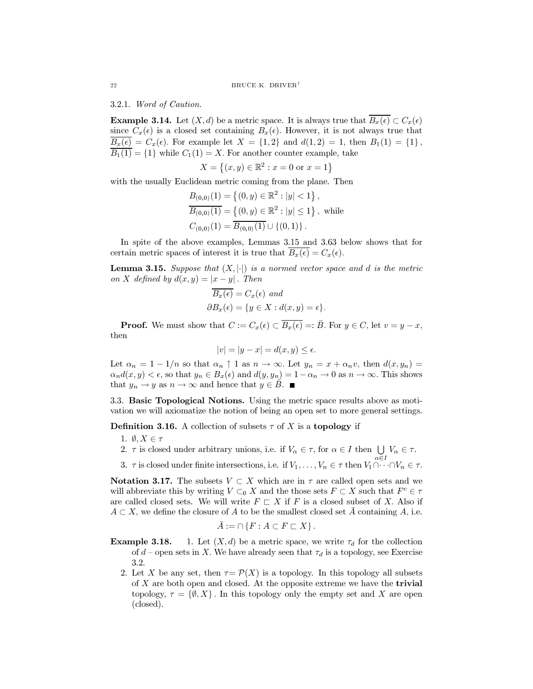3.2.1. Word of Caution.

**Example 3.14.** Let  $(X, d)$  be a metric space. It is always true that  $\overline{B_x(\epsilon)} \subset C_x(\epsilon)$ since  $C_x(\epsilon)$  is a closed set containing  $B_x(\epsilon)$ . However, it is not always true that  $\overline{B_x(\epsilon)} = C_x(\epsilon)$ . For example let  $X = \{1,2\}$  and  $d(1,2) = 1$ , then  $B_1(1) = \{1\}$ ,  $\overline{B_1(1)} = \{1\}$  while  $C_1(1) = X$ . For another counter example, take

$$
X = \{(x, y) \in \mathbb{R}^2 : x = 0 \text{ or } x = 1\}
$$

with the usually Euclidean metric coming from the plane. Then

$$
B_{(0,0)}(1) = \{(0, y) \in \mathbb{R}^2 : |y| < 1\},\
$$
  
\n
$$
B_{(0,0)}(1) = \{(0, y) \in \mathbb{R}^2 : |y| \le 1\},
$$
 while  
\n
$$
C_{(0,0)}(1) = \overline{B_{(0,0)}(1)} \cup \{(0, 1)\}.
$$

In spite of the above examples, Lemmas 3.15 and 3.63 below shows that for certain metric spaces of interest it is true that  $\overline{B_x(\epsilon)} = C_x(\epsilon)$ .

**Lemma 3.15.** Suppose that  $(X, |\cdot|)$  is a normed vector space and d is the metric on X defined by  $d(x, y) = |x - y|$ . Then

$$
\overline{B_x(\epsilon)} = C_x(\epsilon) \text{ and}
$$
  

$$
\partial B_x(\epsilon) = \{ y \in X : d(x, y) = \epsilon \}.
$$

**Proof.** We must show that  $C := C_x(\epsilon) \subset \overline{B_x(\epsilon)} =: \overline{B}$ . For  $y \in C$ , let  $v = y - x$ , then

$$
|v| = |y - x| = d(x, y) \le \epsilon.
$$

Let  $\alpha_n = 1 - 1/n$  so that  $\alpha_n \uparrow 1$  as  $n \to \infty$ . Let  $y_n = x + \alpha_n v$ , then  $d(x, y_n) =$  $\alpha_n d(x, y) < \epsilon$ , so that  $y_n \in B_x(\epsilon)$  and  $d(y, y_n) = 1 - \alpha_n \to 0$  as  $n \to \infty$ . This shows that  $y_n \to y$  as  $n \to \infty$  and hence that  $y \in \overline{B}$ .

3.3. Basic Topological Notions. Using the metric space results above as motivation we will axiomatize the notion of being an open set to more general settings.

**Definition 3.16.** A collection of subsets  $\tau$  of X is a **topology** if

- 1.  $\emptyset, X \in \tau$
- 2.  $\tau$  is closed under arbitrary unions, i.e. if  $V_{\alpha} \in \tau$ , for  $\alpha \in I$  then  $\bigcup V_{\alpha} \in \tau$ .
- 3.  $\tau$  is closed under finite intersections, i.e. if  $V_1, \ldots, V_n \in \tau$  then  $V_1 \cap \cdots \cap V_n \in \tau$ .

**Notation 3.17.** The subsets  $V \subset X$  which are in  $\tau$  are called open sets and we will abbreviate this by writing  $V \subset_0 X$  and the those sets  $F \subset X$  such that  $F^c \in \tau$ are called closed sets. We will write  $F \subset X$  if F is a closed subset of X. Also if  $A \subset X$ , we define the closure of A to be the smallest closed set  $\overline{A}$  containing A, i.e.

$$
A := \cap \{F : A \subset F \sqsubset X\}
$$

- 1. Let  $(X, d)$  be a metric space, we write  $\tau_d$  for the collection Example 3.18. of  $d$  – open sets in X. We have already seen that  $\tau_d$  is a topology, see Exercise  $3.2.$ 
	- 2. Let X be any set, then  $\tau = \mathcal{P}(X)$  is a topology. In this topology all subsets of  $X$  are both open and closed. At the opposite extreme we have the **trivial** topology,  $\tau = \{ \emptyset, X \}$ . In this topology only the empty set and X are open (closed).

22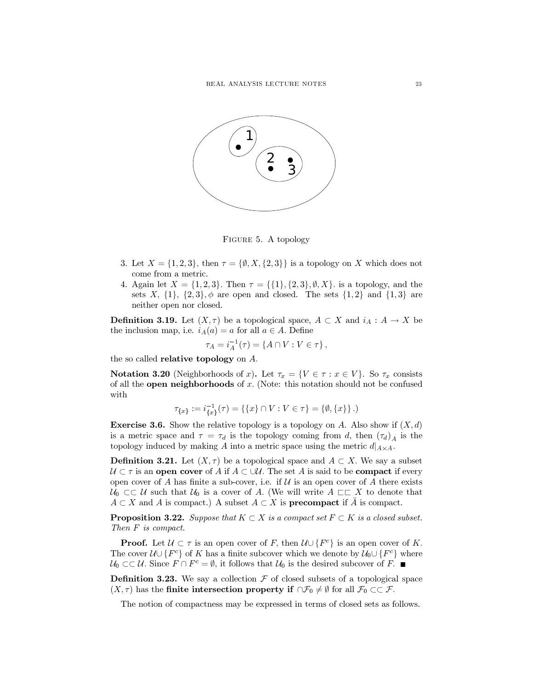

FIGURE 5. A topology

- 3. Let  $X = \{1, 2, 3\}$ , then  $\tau = \{\emptyset, X, \{2, 3\}\}\$ is a topology on X which does not come from a metric.
- 4. Again let  $X = \{1, 2, 3\}$ . Then  $\tau = \{\{1\}, \{2, 3\}, \emptyset, X\}$ . is a topology, and the sets X,  $\{1\}$ ,  $\{2,3\}$ ,  $\phi$  are open and closed. The sets  $\{1,2\}$  and  $\{1,3\}$  are neither open nor closed.

**Definition 3.19.** Let  $(X, \tau)$  be a topological space,  $A \subset X$  and  $i_A : A \to X$  be the inclusion map, i.e.  $i_A(a) = a$  for all  $a \in A$ . Define

$$
\tau_A = i_A^{-1}(\tau) = \{ A \cap V : V \in \tau \},\
$$

the so called **relative topology** on  $A$ .

**Notation 3.20** (Neighborhoods of x). Let  $\tau_x = \{ V \in \tau : x \in V \}$ . So  $\tau_x$  consists of all the **open neighborhoods** of x. (Note: this notation should not be confused with

$$
\tau_{\{x\}} := i_{\{x\}}^{-1}(\tau) = \{\{x\} \cap V : V \in \tau\} = \{\emptyset, \{x\}\}\.
$$

**Exercise 3.6.** Show the relative topology is a topology on A. Also show if  $(X, d)$ is a metric space and  $\tau = \tau_d$  is the topology coming from d, then  $(\tau_d)_A$  is the topology induced by making A into a metric space using the metric  $d|_{A \times A}$ .

**Definition 3.21.** Let  $(X, \tau)$  be a topological space and  $A \subset X$ . We say a subset  $\mathcal{U} \subset \tau$  is an open cover of A if  $A \subset \cup \mathcal{U}$ . The set A is said to be compact if every open cover of A has finite a sub-cover, i.e. if U is an open cover of A there exists  $\mathcal{U}_0 \subset\subset \mathcal{U}$  such that  $\mathcal{U}_0$  is a cover of A. (We will write  $A \subset\subset X$  to denote that  $A \subset X$  and A is compact.) A subset  $A \subset X$  is **precompact** if A is compact.

**Proposition 3.22.** Suppose that  $K \subset X$  is a compact set  $F \subset K$  is a closed subset. Then  $F$  is compact.

**Proof.** Let  $\mathcal{U} \subset \tau$  is an open cover of F, then  $\mathcal{U} \cup \{F^c\}$  is an open cover of K. The cover  $\mathcal{U} \cup \{F^c\}$  of K has a finite subcover which we denote by  $\mathcal{U}_0 \cup \{F^c\}$  where  $\mathcal{U}_0 \subset \subset \mathcal{U}$ . Since  $F \cap F^c = \emptyset$ , it follows that  $\mathcal{U}_0$  is the desired subcover of F.

**Definition 3.23.** We say a collection  $\mathcal F$  of closed subsets of a topological space  $(X, \tau)$  has the **finite intersection property if**  $\cap \mathcal{F}_0 \neq \emptyset$  for all  $\mathcal{F}_0 \subset\subset \mathcal{F}$ .

The notion of compactness may be expressed in terms of closed sets as follows.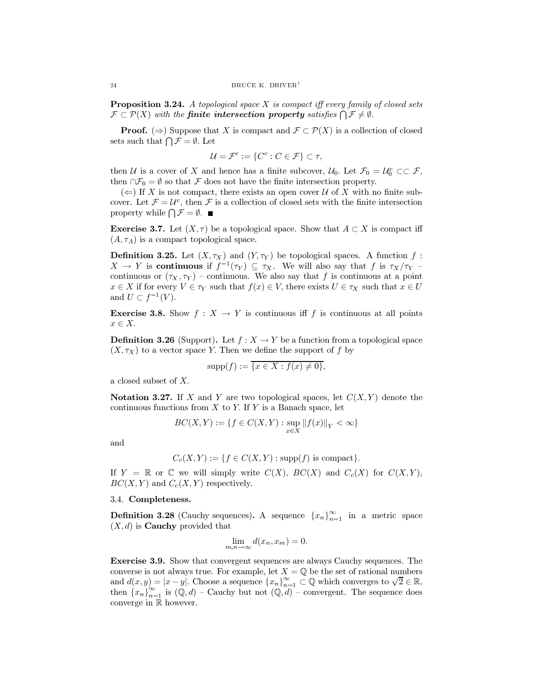**Proposition 3.24.** A topological space  $X$  is compact iff every family of closed sets  $\mathcal{F} \subset \mathcal{P}(X)$  with the **finite intersection property** satisfies  $\bigcap \mathcal{F} \neq \emptyset$ .

**Proof.** ( $\Rightarrow$ ) Suppose that X is compact and  $\mathcal{F} \subset \mathcal{P}(X)$  is a collection of closed sets such that  $\bigcap \mathcal{F} = \emptyset$ . Let

$$
\mathcal{U} = \mathcal{F}^c := \{ C^c : C \in \mathcal{F} \} \subset \tau,
$$

then U is a cover of X and hence has a finite subcover,  $U_0$ . Let  $\mathcal{F}_0 = U_0^c \subset \mathcal{F}$ , then  $\cap \mathcal{F}_0 = \emptyset$  so that  $\mathcal F$  does not have the finite intersection property.

 $(\Leftarrow)$  If X is not compact, there exists an open cover U of X with no finite subcover. Let  $\mathcal{F} = \mathcal{U}^c$ , then F is a collection of closed sets with the finite intersection property while  $\bigcap \mathcal{F} = \emptyset$ .

**Exercise 3.7.** Let  $(X, \tau)$  be a topological space. Show that  $A \subset X$  is compact iff  $(A, \tau_A)$  is a compact topological space.

**Definition 3.25.** Let  $(X, \tau_X)$  and  $(Y, \tau_Y)$  be topological spaces. A function f:  $X \to Y$  is **continuous** if  $f^{-1}(\tau_Y) \subseteq \tau_X$ . We will also say that f is  $\tau_X/\tau_Y$ continuous or  $(\tau_X, \tau_Y)$  – continuous. We also say that f is continuous at a point  $x \in X$  if for every  $V \in \tau_Y$  such that  $f(x) \in V$ , there exists  $U \in \tau_X$  such that  $x \in U$ and  $U \subset f^{-1}(V)$ .

**Exercise 3.8.** Show  $f: X \to Y$  is continuous iff f is continuous at all points  $x \in X$ .

**Definition 3.26** (Support). Let  $f: X \to Y$  be a function from a topological space  $(X, \tau_X)$  to a vector space Y. Then we define the support of f by

$$
supp(f) := \overline{\{x \in X : f(x) \neq 0\}},
$$

a closed subset of  $X$ .

**Notation 3.27.** If X and Y are two topological spaces, let  $C(X, Y)$  denote the continuous functions from  $X$  to  $Y$ . If  $Y$  is a Banach space, let

$$
BC(X, Y) := \{ f \in C(X, Y) : \sup_{x \in X} ||f(x)||_Y < \infty \}
$$

and

$$
C_c(X,Y) := \{ f \in C(X,Y) : \text{supp}(f) \text{ is compact} \}
$$

If  $Y = \mathbb{R}$  or  $\mathbb{C}$  we will simply write  $C(X)$ ,  $BC(X)$  and  $C_c(X)$  for  $C(X,Y)$ ,  $BC(X, Y)$  and  $C_c(X, Y)$  respectively.

### 3.4. Completeness.

**Definition 3.28** (Cauchy sequences). A sequence  $\{x_n\}_{n=1}^{\infty}$  in a metric space  $(X, d)$  is **Cauchy** provided that

$$
\lim_{m,n \to \infty} d(x_n, x_m) = 0.
$$

**Exercise 3.9.** Show that convergent sequences are always Cauchy sequences. The converse is not always true. For example, let  $X = \mathbb{Q}$  be the set of rational numbers and  $d(x, y) = |x - y|$ . Choose a sequence  $\{x_n\}_{n=1}^{\infty} \subset \mathbb{Q}$  which converges to  $\sqrt{2} \in \mathbb{R}$ , then  $\{x_n\}_{n=1}^{\infty}$  is  $(\mathbb{Q}, d)$  – Cauchy but not  $(\mathbb{Q}, d)$  – convergent. The sequence does converge in  $\mathbb R$  however.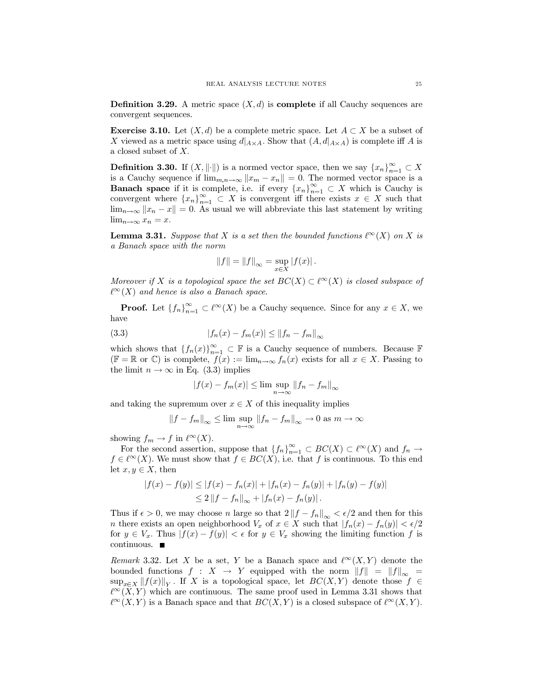**Definition 3.29.** A metric space  $(X, d)$  is **complete** if all Cauchy sequences are convergent sequences.

**Exercise 3.10.** Let  $(X, d)$  be a complete metric space. Let  $A \subset X$  be a subset of X viewed as a metric space using  $d|_{A \times A}$ . Show that  $(A, d|_{A \times A})$  is complete iff A is a closed subset of  $X$ .

**Definition 3.30.** If  $(X, \|\cdot\|)$  is a normed vector space, then we say  $\{x_n\}_{n=1}^{\infty} \subset X$ is a Cauchy sequence if  $\lim_{m,n\to\infty} ||x_m - x_n|| = 0$ . The normed vector space is a **Banach space** if it is complete, i.e. if every  $\{x_n\}_{n=1}^{\infty} \subset X$  which is Cauchy is convergent where  $\{x_n\}_{n=1}^{\infty} \subset X$  is convergent iff there exists  $x \in X$  such that  $\lim_{n\to\infty} ||x_n - x|| = 0$ . As usual we will abbreviate this last statement by writing  $\lim_{n\to\infty}x_n=x.$ 

**Lemma 3.31.** Suppose that X is a set then the bounded functions  $\ell^{\infty}(X)$  on X is a Banach space with the norm

$$
||f|| = ||f||_{\infty} = \sup_{x \in X} |f(x)|.
$$

Moreover if X is a topological space the set  $BC(X) \subset \ell^{\infty}(X)$  is closed subspace of  $\ell^{\infty}(X)$  and hence is also a Banach space.

**Proof.** Let  $\{f_n\}_{n=1}^{\infty} \subset \ell^{\infty}(X)$  be a Cauchy sequence. Since for any  $x \in X$ , we have

(3.3) 
$$
|f_n(x) - f_m(x)| \le ||f_n - f_m||_{\infty}
$$

which shows that  $\{f_n(x)\}_{n=1}^{\infty} \subset \mathbb{F}$  is a Cauchy sequence of numbers. Because  $\mathbb{F}$  $(\mathbb{F} = \mathbb{R}$  or  $\mathbb{C})$  is complete,  $f(x) := \lim_{n \to \infty} f_n(x)$  exists for all  $x \in X$ . Passing to the limit  $n \to \infty$  in Eq. (3.3) implies

$$
|f(x) - f_m(x)| \le \limsup_{n \to \infty} ||f_n - f_m||_{\infty}
$$

and taking the supremum over  $x \in X$  of this inequality implies

$$
||f - f_m||_{\infty} \le \lim \sup_{n \to \infty} ||f_n - f_m||_{\infty} \to 0 \text{ as } m \to \infty
$$

showing  $f_m \to f$  in  $\ell^{\infty}(X)$ .

For the second assertion, suppose that  $\{f_n\}_{n=1}^{\infty} \subset BC(X) \subset \ell^{\infty}(X)$  and  $f_n \to$  $f \in \ell^{\infty}(X)$ . We must show that  $f \in BC(X)$ , i.e. that f is continuous. To this end let  $x, y \in X$ , then

$$
|f(x) - f(y)| \le |f(x) - f_n(x)| + |f_n(x) - f_n(y)| + |f_n(y) - f(y)|
$$
  
\n
$$
\le 2 ||f - f_n||_{\infty} + |f_n(x) - f_n(y)|.
$$

Thus if  $\epsilon > 0$ , we may choose *n* large so that  $2||f - f_n||_{\infty} < \epsilon/2$  and then for this *n* there exists an open neighborhood  $V_x$  of  $x \in X$  such that  $|f_n(x) - f_n(y)| < \epsilon/2$ for  $y \in V_x$ . Thus  $|f(x) - f(y)| < \epsilon$  for  $y \in V_x$  showing the limiting function f is continuous.  $\blacksquare$ 

Remark 3.32. Let X be a set, Y be a Banach space and  $\ell^{\infty}(X, Y)$  denote the bounded functions  $f: X \to Y$  equipped with the norm  $||f|| = ||f||_{\infty}$  $\sup_{x\in X} ||f(x)||_Y$ . If X is a topological space, let  $BC(X, Y)$  denote those  $f \in$  $\ell^{\infty}(\bar{X}, Y)$  which are continuous. The same proof used in Lemma 3.31 shows that  $\ell^{\infty}(X,Y)$  is a Banach space and that  $BC(X,Y)$  is a closed subspace of  $\ell^{\infty}(X,Y)$ .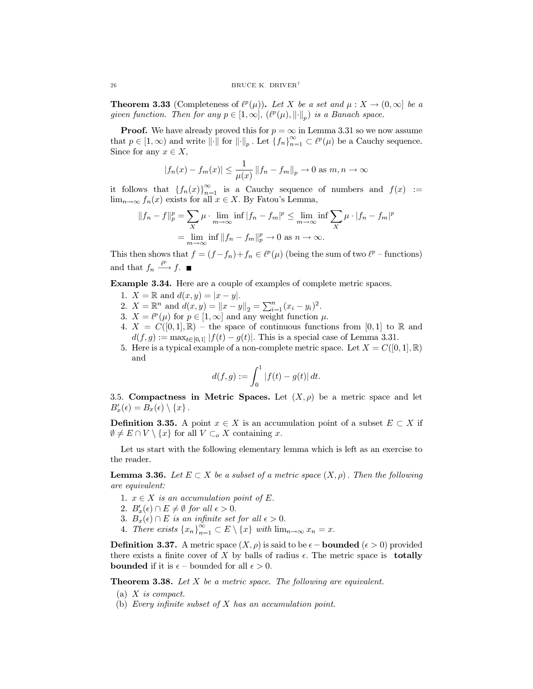**Theorem 3.33** (Completeness of  $\ell^p(\mu)$ ). Let X be a set and  $\mu: X \to (0, \infty]$  be a given function. Then for any  $p \in [1,\infty]$ ,  $(\ell^p(\mu),\lVert \cdot \rVert_n)$  is a Banach space.

**Proof.** We have already proved this for  $p = \infty$  in Lemma 3.31 so we now assume that  $p \in [1,\infty)$  and write  $\|\cdot\|$  for  $\|\cdot\|_p$ . Let  $\{f_n\}_{n=1}^{\infty} \subset \ell^p(\mu)$  be a Cauchy sequence. Since for any  $x \in X$ ,

$$
|f_n(x) - f_m(x)| \le \frac{1}{\mu(x)} ||f_n - f_m||_p \to 0 \text{ as } m, n \to \infty
$$

it follows that  $\{f_n(x)\}_{n=1}^{\infty}$  is a Cauchy sequence of numbers and  $f(x) :=$  $\lim_{n\to\infty} f_n(x)$  exists for all  $x \in X$ . By Fatou's Lemma,

$$
||f_n - f||_p^p = \sum_X \mu \cdot \lim_{m \to \infty} \inf |f_n - f_m|^p \le \lim_{m \to \infty} \inf \sum_X \mu \cdot |f_n - f_m|^p
$$
  
= 
$$
\lim_{m \to \infty} \inf ||f_n - f_m||_p^p \to 0 \text{ as } n \to \infty.
$$

This then shows that  $f = (f - f_n) + f_n \in \ell^p(\mu)$  (being the sum of two  $\ell^p$  – functions) and that  $f_n \xrightarrow{\ell^p} f$ .

**Example 3.34.** Here are a couple of examples of complete metric spaces.

- 1.  $X = \mathbb{R}$  and  $d(x, y) = |x y|$ .
- 2.  $X = \mathbb{R}^n$  and  $d(x, y) = ||x y||_2 = \sum_{i=1}^n (x_i y_i)^2$ .<br>3.  $X = \ell^p(\mu)$  for  $p \in [1, \infty]$  and any weight function  $\mu$ .
- 
- 4.  $X = C([0,1], \mathbb{R})$  the space of continuous functions from [0,1] to R and  $d(f,g) := \max_{t \in [0,1]} |f(t) - g(t)|$ . This is a special case of Lemma 3.31.
- 5. Here is a typical example of a non-complete metric space. Let  $X = C([0,1], \mathbb{R})$ and

$$
d(f,g) := \int_0^1 |f(t) - g(t)| dt.
$$

3.5. Compactness in Metric Spaces. Let  $(X, \rho)$  be a metric space and let  $B'_x(\epsilon) = B_x(\epsilon) \setminus \{x\}.$ 

**Definition 3.35.** A point  $x \in X$  is an accumulation point of a subset  $E \subset X$  if  $\emptyset \neq E \cap V \setminus \{x\}$  for all  $V \subset_o X$  containing x.

Let us start with the following elementary lemma which is left as an exercise to the reader.

**Lemma 3.36.** Let  $E \subset X$  be a subset of a metric space  $(X, \rho)$ . Then the following are equivalent:

- 1.  $x \in X$  is an accumulation point of E.
- 2.  $B'_x(\epsilon) \cap E \neq \emptyset$  for all  $\epsilon > 0$ .
- 3.  $B_x(\epsilon) \cap E$  is an infinite set for all  $\epsilon > 0$ .
- 4. There exists  $\{x_n\}_{n=1}^{\infty} \subset E \setminus \{x\}$  with  $\lim_{n\to\infty} x_n = x$ .

**Definition 3.37.** A metric space  $(X, \rho)$  is said to be  $\epsilon$  – **bounded** ( $\epsilon > 0$ ) provided there exists a finite cover of X by balls of radius  $\epsilon$ . The metric space is **totally bounded** if it is  $\epsilon$  – bounded for all  $\epsilon > 0$ .

**Theorem 3.38.** Let  $X$  be a metric space. The following are equivalent.

- (a)  $X$  is compact.
- (b) Every infinite subset of  $X$  has an accumulation point.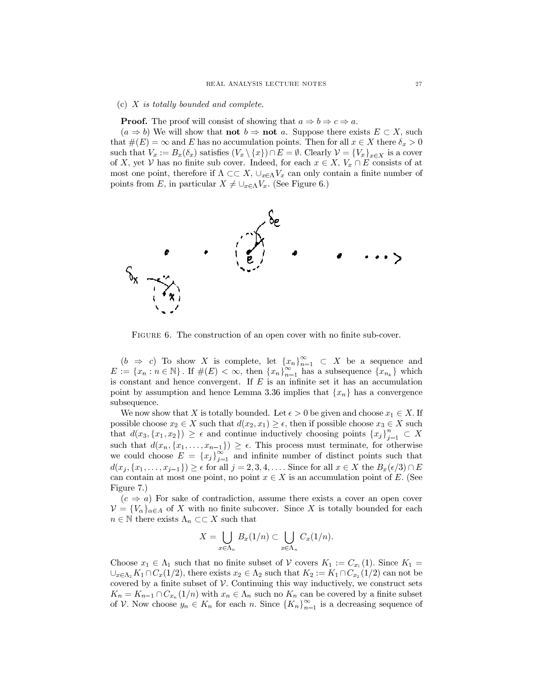### (c)  $X$  is totally bounded and complete.

**Proof.** The proof will consist of showing that  $a \Rightarrow b \Rightarrow c \Rightarrow a$ .

 $(a \Rightarrow b)$  We will show that **not**  $b \Rightarrow$  **not** a. Suppose there exists  $E \subset X$ , such that  $\#(E) = \infty$  and E has no accumulation points. Then for all  $x \in X$  there  $\delta_x > 0$ such that  $V_x := B_x(\delta_x)$  satisfies  $(V_x \setminus \{x\}) \cap E = \emptyset$ . Clearly  $\mathcal{V} = \{V_x\}_{x \in X}$  is a cover of X, yet V has no finite sub cover. Indeed, for each  $x \in X$ ,  $V_x \cap E$  consists of at most one point, therefore if  $\Lambda \subset \subset X$ ,  $\cup_{x \in \Lambda} V_x$  can only contain a finite number of points from E, in particular  $X \neq \bigcup_{x \in \Lambda} V_x$ . (See Figure 6.)



FIGURE 6. The construction of an open cover with no finite sub-cover.

 $(b \Rightarrow c)$  To show X is complete, let  $\{x_n\}_{n=1}^{\infty} \subset X$  be a sequence and  $E := \{x_n : n \in \mathbb{N}\}\.$  If  $\#(E) < \infty$ , then  $\{x_n\}_{n=1}^{\infty}$  has a subsequence  $\{x_{n_k}\}\)$  which is constant and hence convergent. If  $E$  is an infinite set it has an accumulation point by assumption and hence Lemma 3.36 implies that  $\{x_n\}$  has a convergence subsequence.

We now show that X is totally bounded. Let  $\epsilon > 0$  be given and choose  $x_1 \in X$ . If possible choose  $x_2 \in X$  such that  $d(x_2, x_1) \geq \epsilon$ , then if possible choose  $x_3 \in X$  such that  $d(x_3, \{x_1, x_2\}) \geq \epsilon$  and continue inductively choosing points  $\{x_j\}_{i=1}^n \subset X$ such that  $d(x_n, \{x_1, \ldots, x_{n-1}\}) \geq \epsilon$ . This process must terminate, for otherwise we could choose  $E = \{x_j\}_{j=1}^{\infty}$  and infinite number of distinct points such that  $d(x_j, \{x_1, \ldots, x_{j-1}\}) \geq \epsilon$  for all  $j = 2, 3, 4, \ldots$ . Since for all  $x \in X$  the  $B_x(\epsilon/3) \cap E$ can contain at most one point, no point  $x \in X$  is an accumulation point of E. (See Figure 7.

 $(c \Rightarrow a)$  For sake of contradiction, assume there exists a cover an open cover  $\mathcal{V} = \{V_{\alpha}\}_{{\alpha \in A}}$  of X with no finite subcover. Since X is totally bounded for each  $n \in \mathbb{N}$  there exists  $\Lambda_n \subset \subset X$  such that

$$
X=\bigcup_{x\in\Lambda_n}B_x(1/n)\subset\bigcup_{x\in\Lambda_n}C_x(1/n).
$$

Choose  $x_1 \in \Lambda_1$  such that no finite subset of V covers  $K_1 := C_{x_1}(1)$ . Since  $K_1 =$  $\bigcup_{x \in \Lambda_2} K_1 \cap C_x(1/2)$ , there exists  $x_2 \in \Lambda_2$  such that  $K_2 := K_1 \cap C_{x_2}(1/2)$  can not be covered by a finite subset of  $V$ . Continuing this way inductively, we construct sets  $K_n = K_{n-1} \cap C_{x_n}(1/n)$  with  $x_n \in \Lambda_n$  such no  $K_n$  can be covered by a finite subset of V. Now choose  $y_n \in K_n$  for each n. Since  $\{K_n\}_{n=1}^{\infty}$  is a decreasing sequence of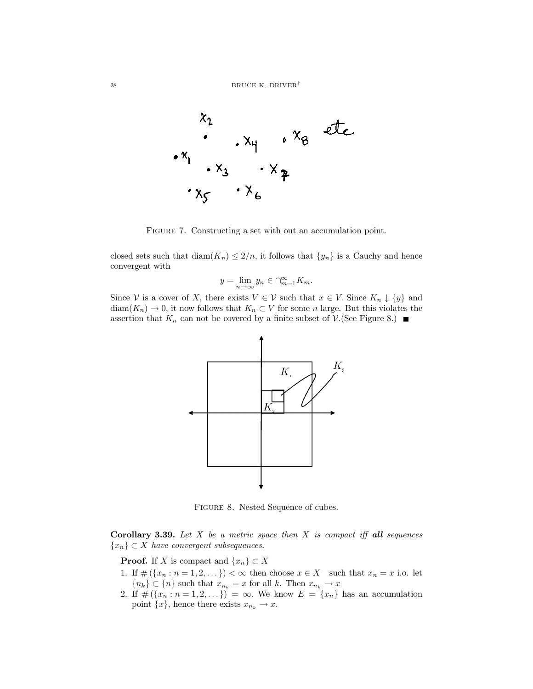

FIGURE 7. Constructing a set with out an accumulation point.

closed sets such that  $\text{diam}(K_n) \leq 2/n$ , it follows that  $\{y_n\}$  is a Cauchy and hence convergent with

$$
y = \lim_{n \to \infty} y_n \in \bigcap_{m=1}^{\infty} K_m
$$

Since V is a cover of X, there exists  $V \in V$  such that  $x \in V$ . Since  $K_n \downarrow \{y\}$  and  $\text{diam}(K_n) \to 0$ , it now follows that  $K_n \subset V$  for some *n* large. But this violates the assertion that  $K_n$  can not be covered by a finite subset of  $\mathcal{V}$ . (See Figure 8.)



FIGURE 8. Nested Sequence of cubes.

**Corollary 3.39.** Let  $X$  be a metric space then  $X$  is compact iff all sequences  $\{x_n\} \subset X$  have convergent subsequences.

**Proof.** If X is compact and  $\{x_n\} \subset X$ 

- 1. If  $\#(\lbrace x_n : n=1,2,\ldots \rbrace) < \infty$  then choose  $x \in X$  such that  $x_n = x$  i.o. let  ${n_k} \subset {n}$  such that  $x_{n_k} = x$  for all k. Then  $x_{n_k} \to x$
- 2. If  $\#(\{x_n : n = 1, 2, ...\}) = \infty$ . We know  $E = \{x_n\}$  has an accumulation point  $\{x\}$ , hence there exists  $x_{n_k} \to x$ .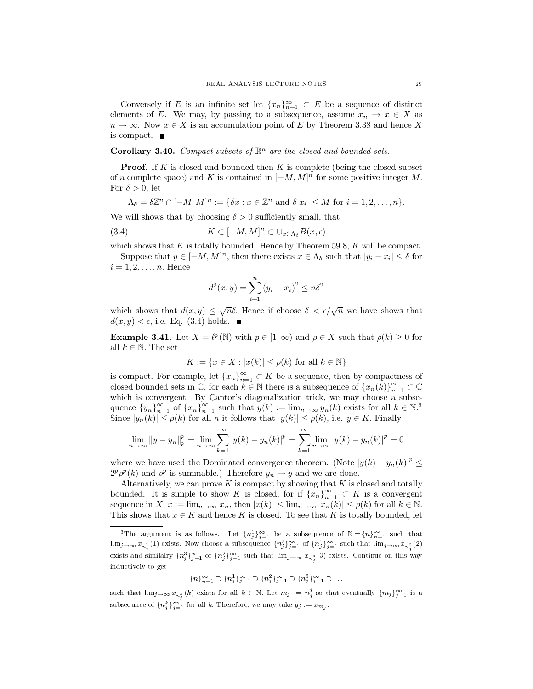Conversely if E is an infinite set let  $\{x_n\}_{n=1}^{\infty} \subset E$  be a sequence of distinct elements of E. We may, by passing to a subsequence, assume  $x_n \to x \in X$  as  $n \to \infty$ . Now  $x \in X$  is an accumulation point of E by Theorem 3.38 and hence X is compact.  $\blacksquare$ 

### **Corollary 3.40.** Compact subsets of  $\mathbb{R}^n$  are the closed and bounded sets.

**Proof.** If K is closed and bounded then K is complete (being the closed subset of a complete space) and K is contained in  $[-M, M]^n$  for some positive integer M. For  $\delta > 0$ , let

$$
\Lambda_{\delta} = \delta \mathbb{Z}^n \cap [-M, M]^n := \{ \delta x : x \in \mathbb{Z}^n \text{ and } \delta |x_i| \leq M \text{ for } i = 1, 2, \dots, n \}.
$$

We will shows that by choosing  $\delta > 0$  sufficiently small, that

$$
(3.4) \t K \subset [-M,M]^n \subset \cup_{x \in \Lambda_\delta} B(x,\epsilon)
$$

which shows that  $K$  is totally bounded. Hence by Theorem 59.8,  $K$  will be compact.

Suppose that  $y \in [-M, M]^n$ , then there exists  $x \in \Lambda_{\delta}$  such that  $|y_i - x_i| \leq \delta$  for  $i=1,2,\ldots,n.$  Hence

$$
d^{2}(x, y) = \sum_{i=1}^{n} (y_{i} - x_{i})^{2} \leq n\delta^{2}
$$

which shows that  $d(x, y) \leq \sqrt{n}\delta$ . Hence if choose  $\delta < \epsilon/\sqrt{n}$  we have shows that  $d(x, y) < \epsilon$ , i.e. Eq. (3.4) holds.  $\blacksquare$ 

**Example 3.41.** Let  $X = \ell^p(\mathbb{N})$  with  $p \in [1, \infty)$  and  $\rho \in X$  such that  $\rho(k) \geq 0$  for all  $k \in \mathbb{N}$ . The set

$$
K := \{ x \in X : |x(k)| \le \rho(k) \text{ for all } k \in \mathbb{N} \}
$$

is compact. For example, let  $\{x_n\}_{n=1}^{\infty} \subset K$  be a sequence, then by compactness of closed bounded sets in  $\mathbb{C}$ , for each  $k \in \mathbb{N}$  there is a subsequence of  $\{x_n(k)\}_{n=1}^{\infty} \subset \mathbb{C}$ which is convergent. By Cantor's diagonalization trick, we may choose a subsequence  $\{y_n\}_{n=1}^{\infty}$  of  $\{x_n\}_{n=1}^{\infty}$  such that  $y(k) := \lim_{n \to \infty} y_n(k)$  exists for all  $k \in \mathbb{N}^3$ Since  $|y_n(k)| \le \rho(k)$  for all *n* it follows that  $|y(k)| \le \rho(k)$ , i.e.  $y \in K$ . Finally

$$
\lim_{n \to \infty} ||y - y_n||_p^p = \lim_{n \to \infty} \sum_{k=1}^{\infty} |y(k) - y_n(k)|^p = \sum_{k=1}^{\infty} \lim_{n \to \infty} |y(k) - y_n(k)|^p = 0
$$

where we have used the Dominated convergence theorem. (Note  $|y(k) - y_n(k)|^p \le$  $2^p \rho^p(k)$  and  $\rho^p$  is summable.) Therefore  $y_n \to y$  and we are done.

Alternatively, we can prove  $K$  is compact by showing that  $K$  is closed and totally bounded. It is simple to show K is closed, for if  $\{x_n\}_{n=1}^{\infty} \subset K$  is a convergent sequence in  $X, x := \lim_{n \to \infty} x_n$ , then  $|x(k)| \leq \lim_{n \to \infty} |x_n(k)| \leq \rho(k)$  for all  $k \in \mathbb{N}$ . This shows that  $x \in K$  and hence K is closed. To see that K is totally bounded, let

$$
{n\}_{n=1}^{\infty} \supset {n_j^1\}_{j=1}^{\infty} \supset {n_j^2\}_{j=1}^{\infty} \supset {n_j^3\}_{j=1}^{\infty} \supset \dots
$$

such that  $\lim_{j\to\infty} x_{n_k^k}(k)$  exists for all  $k \in \mathbb{N}$ . Let  $m_j := n_j^j$  so that eventually  $\{m_j\}_{j=1}^{\infty}$  is a subsequince of  $\{n_j^k\}_{j=1}^\infty$  for all k. Therefore, we may take  $y_j := x_{m_j}$ .

<sup>&</sup>lt;sup>3</sup>The argument is as follows. Let  $\{n_j^1\}_{j=1}^{\infty}$  be a subsequence of  $\mathbb{N} = \{n\}_{n=1}^{\infty}$  such that  $\lim_{j\to\infty} x_{n_j}^{-1}(1)$  exists. Now choose a subsequence  $\{n_j^2\}_{j=1}^{\infty}$  of  $\{n_j^1\}_{j=1}^{\infty}$  such that  $\lim_{j\to\infty} x_{n_j^2}(2)$ exists and similalry  ${n_j^3}_{j=1}^{\infty}$  of  ${n_j^2}_{j=1}^{\infty}$  such that  $\lim_{j\to\infty} x_{n_j^3}(3)$  exists. Continue on this way inductively to get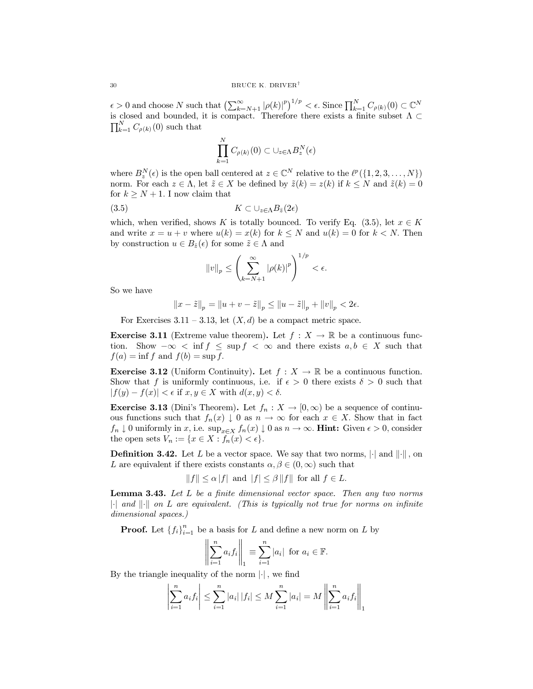$\epsilon > 0$  and choose N such that  $\left(\sum_{k=N+1}^{\infty} |\rho(k)|^p\right)^{1/p} < \epsilon$ . Since  $\prod_{k=1}^N C_{\rho(k)}(0) \subset \mathbb{C}^N$  is closed and bounded, it is compact. Therefore there exists a finite subset  $\Lambda \subset$  $\prod_{k=1}^N C_{\rho(k)}(0)$  such that

$$
\prod_{k=1}^{N} C_{\rho(k)}(0) \subset \cup_{z \in \Lambda} B_z^N(\epsilon)
$$

where  $B_{\gamma}^{N}(\epsilon)$  is the open ball centered at  $z \in \mathbb{C}^{N}$  relative to the  $\ell^{p}(\{1,2,3,\ldots,N\})$ norm. For each  $z \in \Lambda$ , let  $\tilde{z} \in X$  be defined by  $\tilde{z}(k) = z(k)$  if  $k \leq N$  and  $\tilde{z}(k) = 0$ for  $k \geq N + 1$ . I now claim that

$$
(3.5) \t K \subset \cup_{z \in \Lambda} B_{\tilde{z}}(2\epsilon)
$$

which, when verified, shows K is totally bounced. To verify Eq.  $(3.5)$ , let  $x \in K$ and write  $x = u + v$  where  $u(k) = x(k)$  for  $k \leq N$  and  $u(k) = 0$  for  $k < N$ . Then by construction  $u \in B_{\tilde{z}}(\epsilon)$  for some  $\tilde{z} \in \Lambda$  and

$$
||v||_p \le \left(\sum_{k=N+1}^{\infty} |\rho(k)|^p\right)^{1/p} < \epsilon.
$$

So we have

$$
||x - \tilde{z}||_p = ||u + v - \tilde{z}||_p \le ||u - \tilde{z}||_p + ||v||_p < 2\epsilon
$$

For Exercises 3.11 – 3.13, let  $(X, d)$  be a compact metric space.

**Exercise 3.11** (Extreme value theorem). Let  $f: X \to \mathbb{R}$  be a continuous function. Show  $-\infty < \inf f < \sup f < \infty$  and there exists  $a, b \in X$  such that  $f(a) = \inf f$  and  $f(b) = \sup f$ .

**Exercise 3.12** (Uniform Continuity). Let  $f: X \to \mathbb{R}$  be a continuous function. Show that f is uniformly continuous, i.e. if  $\epsilon > 0$  there exists  $\delta > 0$  such that  $|f(y) - f(x)| < \epsilon$  if  $x, y \in X$  with  $d(x, y) < \delta$ .

**Exercise 3.13** (Dini's Theorem). Let  $f_n: X \to [0, \infty)$  be a sequence of continuous functions such that  $f_n(x) \downarrow 0$  as  $n \to \infty$  for each  $x \in X$ . Show that in fact  $f_n \downarrow 0$  uniformly in x, i.e.  $\sup_{x \in X} f_n(x) \downarrow 0$  as  $n \to \infty$ . **Hint:** Given  $\epsilon > 0$ , consider the open sets  $V_n := \{x \in X : f_n(x) < \epsilon\}.$ 

**Definition 3.42.** Let L be a vector space. We say that two norms,  $\|\cdot\|$  and  $\|\cdot\|$ , on L are equivalent if there exists constants  $\alpha, \beta \in (0, \infty)$  such that

 $||f|| \leq \alpha |f|$  and  $|f| \leq \beta ||f||$  for all  $f \in L$ .

Lemma 3.43. Let L be a finite dimensional vector space. Then any two norms  $\|\cdot\|$  and  $\|\cdot\|$  on L are equivalent. (This is typically not true for norms on infinite dimensional spaces.)

**Proof.** Let  $\{f_i\}_{i=1}^n$  be a basis for L and define a new norm on L by

$$
\left\| \sum_{i=1}^n a_i f_i \right\|_1 \equiv \sum_{i=1}^n |a_i| \text{ for } a_i \in \mathbb{F}.
$$

By the triangle inequality of the norm  $|\cdot|$ , we find

$$
\left|\sum_{i=1}^{n} a_i f_i\right| \leq \sum_{i=1}^{n} |a_i| |f_i| \leq M \sum_{i=1}^{n} |a_i| = M \left\| \sum_{i=1}^{n} a_i f_i \right\|_1
$$

 $\mathbf{u}$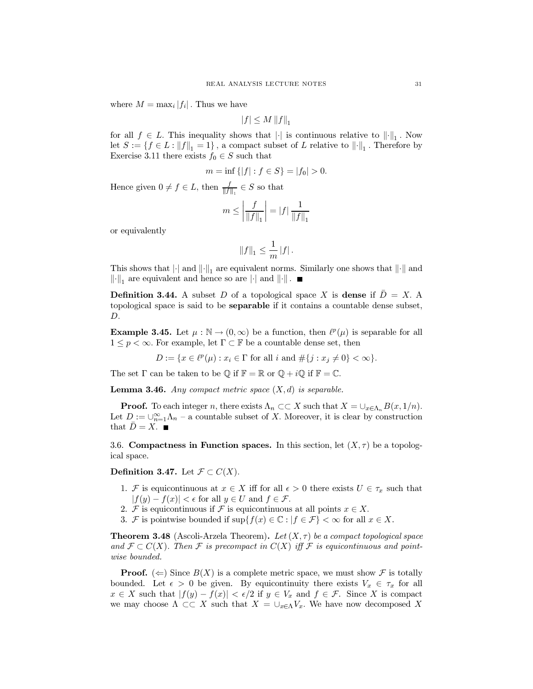where  $M = \max_i |f_i|$ . Thus we have

$$
|f| \le M \left\| f \right\|_1
$$

for all  $f \in L$ . This inequality shows that  $\lVert \cdot \rVert$  is continuous relative to  $\lVert \cdot \rVert_1$ . Now let  $S:=\{f\in L: \|f\|_1=1\}$  , a compact subset of  $L$  relative to  $\left\|\cdot\right\|_1.$  Therefore by Exercise 3.11 there exists  $f_0 \in S$  such that

$$
m = \inf \{|f| : f \in S\} = |f_0| > 0.
$$

Hence given  $0 \neq f \in L$ , then  $\frac{f}{\|f\|_{1}} \in S$  so that

$$
m\leq \left|\frac{f}{\left\|f\right\|_1}\right|=|f|\,\frac{1}{\left\|f\right\|_1}
$$

or equivalently

$$
||f||_1 \leq \frac{1}{m} |f|.
$$

This shows that  $\|\cdot\|_1$  and  $\|\cdot\|_1$  are equivalent norms. Similarly one shows that  $\|\cdot\|$  and  $\|\cdot\|_1$  are equivalent and hence so are  $|\cdot|$  and  $\|\cdot\|$ .

**Definition 3.44.** A subset D of a topological space X is dense if  $D = X$ . A topological space is said to be **separable** if it contains a countable dense subset, D.

**Example 3.45.** Let  $\mu : \mathbb{N} \to (0,\infty)$  be a function, then  $\ell^p(\mu)$  is separable for all  $1 \leq p < \infty$ . For example, let  $\Gamma \subset \mathbb{F}$  be a countable dense set, then

$$
D := \{ x \in \ell^p(\mu) : x_i \in \Gamma \text{ for all } i \text{ and } \# \{ j : x_j \neq 0 \} < \infty \}.
$$

The set  $\Gamma$  can be taken to be  $\mathbb Q$  if  $\mathbb F = \mathbb R$  or  $\mathbb Q + i\mathbb Q$  if  $\mathbb F = \mathbb C$ .

**Lemma 3.46.** Any compact metric space  $(X,d)$  is separable.

**Proof.** To each integer n, there exists  $\Lambda_n \subset\subset X$  such that  $X = \bigcup_{x \in \Lambda_n} B(x, 1/n)$ . Let  $D:=\cup_{n=1}^\infty \Lambda_n$  – a countable subset of  $X.$  Moreover, it is clear by construction that  $\bar{D}=X.$   $\blacksquare$ 

3.6. Compactness in Function spaces. In this section, let  $(X, \tau)$  be a topological space.

**Definition 3.47.** Let  $\mathcal{F} \subset C(X)$ .

- 1. F is equicontinuous at  $x \in X$  iff for all  $\epsilon > 0$  there exists  $U \in \tau_x$  such that  $|f(y) - f(x)| < \epsilon$  for all  $y \in U$  and  $f \in \mathcal{F}$ .
- 2. F is equicontinuous if F is equicontinuous at all points  $x \in X$ .
- 3. F is pointwise bounded if  $\sup\{f(x) \in \mathbb{C} : |f \in \mathcal{F}\}\langle \infty \rangle$  for all  $x \in X$ .

**Theorem 3.48** (Ascoli-Arzela Theorem). Let  $(X, \tau)$  be a compact topological space and  $\mathcal{F} \subset C(X)$ . Then F is precompact in  $C(X)$  iff F is equicontinuous and pointwise bounded.

**Proof.** ( $\Leftarrow$ ) Since  $B(X)$  is a complete metric space, we must show F is totally bounded. Let  $\epsilon > 0$  be given. By equicontinuity there exists  $V_x \in \tau_x$  for all  $x \in X$  such that  $|f(y) - f(x)| < \epsilon/2$  if  $y \in V_x$  and  $f \in \mathcal{F}$ . Since X is compact we may choose  $\Lambda \subset\subset X$  such that  $X = \bigcup_{x \in \Lambda} V_x$ . We have now decomposed X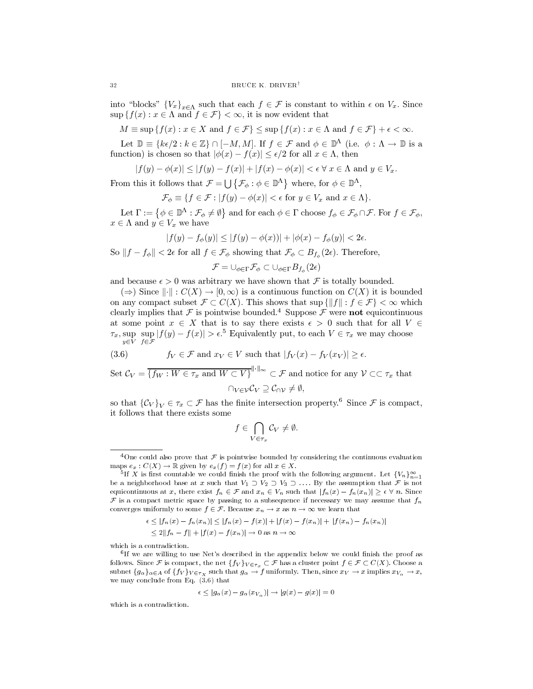into "blocks"  ${V_x}_{x \in \Lambda}$  such that each  $f \in \mathcal{F}$  is constant to within  $\epsilon$  on  $V_x$ . Since  $\sup\{f(x):x\in\Lambda\text{ and }f\in\mathcal{F}\}<\infty,$  it is now evident that

$$
M \equiv \sup \{ f(x) : x \in X \text{ and } f \in \mathcal{F} \} \le \sup \{ f(x) : x \in \Lambda \text{ and } f \in \mathcal{F} \} + \epsilon < \infty.
$$

Let  $\mathbb{D} \equiv \{k\epsilon/2 : k \in \mathbb{Z}\}\cap [-M, M]$ . If  $f \in \mathcal{F}$  and  $\phi \in \mathbb{D}^{\Lambda}$  (i.e.  $\phi : \Lambda \to \mathbb{D}$  is a function) is chosen so that  $|\phi(x) - f(x)| \leq \epsilon/2$  for all  $x \in \Lambda$ , then

$$
|f(y) - \phi(x)| \le |f(y) - f(x)| + |f(x) - \phi(x)| < \epsilon \,\forall \, x \in \Lambda \text{ and } y \in V_x.
$$

From this it follows that  $\mathcal{F} = \bigcup \{ \mathcal{F}_{\phi} : \phi \in \mathbb{D}^{\Lambda} \}$  where, for  $\phi \in \mathbb{D}^{\Lambda}$ ,

$$
\mathcal{F}_{\phi} \equiv \{ f \in \mathcal{F} : |f(y) - \phi(x)| < \epsilon \text{ for } y \in V_x \text{ and } x \in \Lambda \}.
$$

Let  $\Gamma := \{ \phi \in \mathbb{D}^{\Lambda} : \mathcal{F}_{\phi} \neq \emptyset \}$  and for each  $\phi \in \Gamma$  choose  $f_{\phi} \in \mathcal{F}_{\phi} \cap \mathcal{F}$ . For  $f \in \mathcal{F}_{\phi}$ ,  $x \in \Lambda$  and  $y \in V_x$  we have

$$
|f(y) - f_{\phi}(y)| \le |f(y) - \phi(x))| + |\phi(x) - f_{\phi}(y)| < 2\epsilon
$$

So  $||f - f_{\phi}|| < 2\epsilon$  for all  $f \in \mathcal{F}_{\phi}$  showing that  $\mathcal{F}_{\phi} \subset B_{f_{\phi}}(2\epsilon)$ . Therefore,

 $\mathcal{F}=\cup_{\phi\in\Gamma}\mathcal{F}_{\phi}\subset\cup_{\phi\in\Gamma}B_{f_{\phi}}(2\epsilon)$ 

and because  $\epsilon > 0$  was arbitrary we have shown that F is totally bounded.

 $(\Rightarrow)$  Since  $\|\cdot\|: C(X) \to [0,\infty)$  is a continuous function on  $C(X)$  it is bounded on any compact subset  $\mathcal{F} \subset C(X)$ . This shows that sup  $\{||f|| : f \in \mathcal{F}\} < \infty$  which clearly implies that  $\mathcal F$  is pointwise bounded.<sup>4</sup> Suppose  $\mathcal F$  were **not** equicontinuous at some point  $x \in X$  that is to say there exists  $\epsilon > 0$  such that for all  $V \in$  $\tau_x$ , sup sup  $|f(y) - f(x)| > \epsilon^5$  Equivalently put, to each  $V \in \tau_x$  we may choose  $y \in V$   $f \in \mathcal{F}$ 

(3.6) 
$$
f_V \in \mathcal{F}
$$
 and  $x_V \in V$  such that  $|f_V(x) - f_V(x_V)| \ge \epsilon$ 

Set  $\mathcal{C}_V = \overline{\{f_W : W \in \tau_x \text{ and } W \subset V\}}^{\|\cdot\|_{\infty}} \subset \mathcal{F}$  and notice for any  $\mathcal{V} \subset \subset \tau_x$  that  $\cap_{V\in\mathcal{V}}\mathcal{C}_V\supseteq\mathcal{C}_{\cap\mathcal{V}}\neq\emptyset,$ 

so that  $\{\mathcal{C}_V\}_V \in \tau_x \subset \mathcal{F}$  has the finite intersection property.<sup>6</sup> Since  $\mathcal F$  is compact, it follows that there exists some

$$
f\in\bigcap_{V\in\tau_x}\mathcal{C}_V\neq\emptyset.
$$

$$
\epsilon \le |f_n(x) - f_n(x_n)| \le |f_n(x) - f(x)| + |f(x) - f(x_n)| + |f(x_n) - f_n(x_n)|
$$
  

$$
\le 2||f_n - f|| + |f(x) - f(x_n)| \to 0 \text{ as } n \to \infty
$$

which is a contradiction.

$$
\epsilon \le |g_{\alpha}(x) - g_{\alpha}(x_{V_{\alpha}})| \rightarrow |g(x) - g(x)| = 0
$$

which is a contradiction.

<sup>&</sup>lt;sup>4</sup>One could also prove that F is pointwise bounded by considering the continuous evaluation maps  $e_x : C(X) \to \mathbb{R}$  given by  $e_x(f) = f(x)$  for all  $x \in X$ .

<sup>&</sup>lt;sup>5</sup>If X is first countable we could finish the proof with the following argument. Let  $\{V_n\}_{n=1}^{\infty}$ be a neighborhood base at x such that  $V_1 \supset V_2 \supset V_3 \supset \ldots$ . By the assumption that  $\mathcal F$  is not equicontinuous at x, there exist  $f_n \in \mathcal{F}$  and  $x_n \in V_n$  such that  $|f_n(x) - f_n(x_n)| \ge \epsilon \ \forall n$ . Since F is a compact metric space by passing to a subsequence if necessary we may assume that  $f_n$ converges uniformly to some  $f \in \mathcal{F}$ . Because  $x_n \to x$  as  $n \to \infty$  we learn that

 $6$ If we are willing to use Net's described in the appendix below we could finish the proof as follows. Since F is compact, the net  $\{f_V\}_{V \in \tau_x} \subset \mathcal{F}$  has a cluster point  $f \in \mathcal{F} \subset C(X)$ . Choose a subnet  $\{g_{\alpha}\}_{{\alpha}\in A}$  of  $\{f_V\}_{{V\in\tau_X}}$  such that  $g_{\alpha}\to f$  uniformly. Then, since  $x_V\to x$  implies  $x_{V_{\alpha}}\to x$ , we may conclude from Eq.  $(3.6)$  that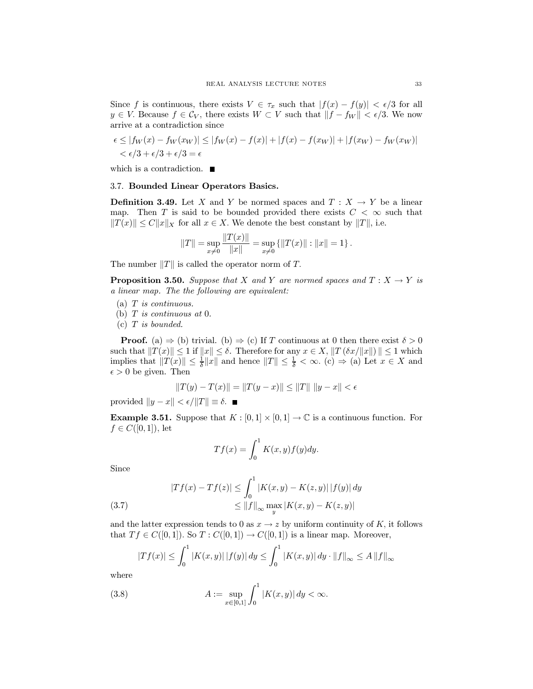Since f is continuous, there exists  $V \in \tau_x$  such that  $|f(x) - f(y)| < \epsilon/3$  for all  $y \in V$ . Because  $f \in \mathcal{C}_V$ , there exists  $W \subset V$  such that  $||f - f_W|| < \epsilon/3$ . We now arrive at a contradiction since

$$
\epsilon \le |f_W(x) - f_W(x_W)| \le |f_W(x) - f(x)| + |f(x) - f(x_W)| + |f(x_W) - f_W(x_W)|
$$
  

$$
\epsilon/3 + \epsilon/3 + \epsilon/3 = \epsilon
$$

which is a contradiction.  $\blacksquare$ 

# 3.7. Bounded Linear Operators Basics.

**Definition 3.49.** Let X and Y be normed spaces and  $T: X \to Y$  be a linear map. Then T is said to be bounded provided there exists  $C < \infty$  such that  $||T(x)|| \le C ||x||_X$  for all  $x \in X$ . We denote the best constant by  $||T||$ , i.e.

$$
||T|| = \sup_{x \neq 0} \frac{||T(x)||}{||x||} = \sup_{x \neq 0} \{ ||T(x)|| : ||x|| = 1 \}.
$$

The number  $||T||$  is called the operator norm of T.

**Proposition 3.50.** Suppose that X and Y are normed spaces and  $T: X \to Y$  is a linear map. The the following are equivalent:

- (a)  $T$  is continuous.
- (b)  $T$  is continuous at 0.

 $(c)$  T is bounded.

**Proof.** (a)  $\Rightarrow$  (b) trivial. (b)  $\Rightarrow$  (c) If T continuous at 0 then there exist  $\delta > 0$ such that  $||T(x)|| \leq 1$  if  $||x|| \leq \delta$ . Therefore for any  $x \in X$ ,  $||T(\delta x/||x||)|| \leq 1$  which implies that  $||T(x)|| \leq \frac{1}{\delta} ||x||$  and hence  $||T|| \leq \frac{1}{\delta} < \infty$ . (c)  $\Rightarrow$  (a) Let  $x \in X$  and  $\epsilon > 0$  be given. Then

$$
||T(y) - T(x)|| = ||T(y - x)|| \le ||T|| \, ||y - x|| < \epsilon
$$

provided  $||y - x|| < \epsilon / ||T|| \equiv \delta$ .

**Example 3.51.** Suppose that  $K : [0,1] \times [0,1] \rightarrow \mathbb{C}$  is a continuous function. For  $f \in C([0,1])$ , let

$$
Tf(x) = \int_0^1 K(x, y) f(y) dy.
$$

Since

(3.7) 
$$
|Tf(x) - Tf(z)| \le \int_0^1 |K(x, y) - K(z, y)| |f(y)| dy
$$

$$
\le ||f||_{\infty} \max_{y} |K(x, y) - K(z, y)|
$$

and the latter expression tends to 0 as  $x \to z$  by uniform continuity of K, it follows that  $Tf \in C([0,1])$ . So  $T: C([0,1]) \to C([0,1])$  is a linear map. Moreover,

$$
|Tf(x)| \le \int_0^1 |K(x,y)| |f(y)| dy \le \int_0^1 |K(x,y)| dy \cdot ||f||_{\infty} \le A ||f||_{\infty}
$$

where

(3.8) 
$$
A := \sup_{x \in [0,1]} \int_0^1 |K(x,y)| dy < \infty.
$$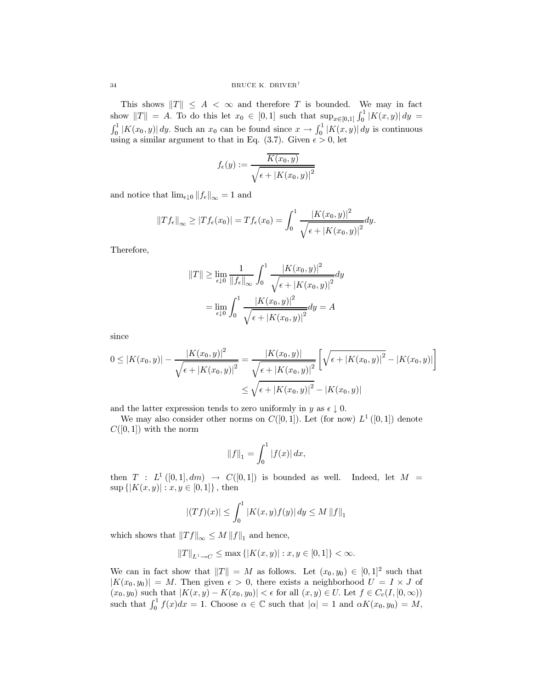This shows  $||T|| \leq A < \infty$  and therefore T is bounded. We may in fact show  $||T|| = A$ . To do this let  $x_0 \in [0,1]$  such that  $\sup_{x \in [0,1]} \int_0^1 |K(x,y)| dy =$  $\int_0^1 |K(x_0, y)| dy$ . Such an  $x_0$  can be found since  $x \to \int_0^1 |K(x, y)| dy$  is continuous using a similar argument to that in Eq. (3.7). Given  $\epsilon > 0$ , let

$$
f_{\epsilon}(y) := \frac{\overline{K(x_0, y)}}{\sqrt{\epsilon + |K(x_0, y)|^2}}
$$

and notice that  $\lim_{\epsilon \downarrow 0} ||f_{\epsilon}||_{\infty} = 1$  and

$$
||Tf_{\epsilon}||_{\infty} \geq |Tf_{\epsilon}(x_0)| = Tf_{\epsilon}(x_0) = \int_0^1 \frac{|K(x_0, y)|^2}{\sqrt{\epsilon + |K(x_0, y)|^2}} dy.
$$

Therefore,

$$
||T|| \ge \lim_{\epsilon \downarrow 0} \frac{1}{||f_{\epsilon}||_{\infty}} \int_{0}^{1} \frac{|K(x_0, y)|^2}{\sqrt{\epsilon + |K(x_0, y)|^2}} dy
$$

$$
= \lim_{\epsilon \downarrow 0} \int_{0}^{1} \frac{|K(x_0, y)|^2}{\sqrt{\epsilon + |K(x_0, y)|^2}} dy = A
$$

since

$$
0 \le |K(x_0, y)| - \frac{|K(x_0, y)|^2}{\sqrt{\epsilon + |K(x_0, y)|^2}} = \frac{|K(x_0, y)|}{\sqrt{\epsilon + |K(x_0, y)|^2}} \left[ \sqrt{\epsilon + |K(x_0, y)|^2} - |K(x_0, y)| \right]
$$
  

$$
\le \sqrt{\epsilon + |K(x_0, y)|^2} - |K(x_0, y)|
$$

and the latter expression tends to zero uniformly in  $y$  as  $\epsilon \perp 0$ .

We may also consider other norms on  $C([0,1])$ . Let (for now)  $L^1([0,1])$  denote  $C([0, 1])$  with the norm

$$
||f||_1 = \int_0^1 |f(x)| dx,
$$

then  $T : L^1([0,1], dm) \rightarrow C([0,1])$  is bounded as well. Indeed, let  $M =$  $\sup\{|K(x,y)| : x,y \in [0,1]\},\$  then

$$
|(Tf)(x)| \le \int_0^1 |K(x,y)f(y)| \, dy \le M \, ||f||_1
$$

which shows that  $||Tf||_{\infty} \leq M ||f||_1$  and hence,

$$
\|T\|_{L^1\to C}\leq \max\left\{|K(x,y)| : x,y\in [0,1]\right\}<\infty.
$$

We can in fact show that  $||T|| = M$  as follows. Let  $(x_0, y_0) \in [0, 1]^2$  such that  $|K(x_0, y_0)| = M$ . Then given  $\epsilon > 0$ , there exists a neighborhood  $U = I \times J$  of  $+(x_0, y_0)$  such that  $|K(x, y) - K(x_0, y_0)| < \epsilon$  for all  $(x, y) \in U$ . Let  $f \in C_c(I, [0, \infty))$ such that  $\int_0^1 f(x)dx = 1$ . Choose  $\alpha \in \mathbb{C}$  such that  $|\alpha| = 1$  and  $\alpha K(x_0, y_0) = M$ ,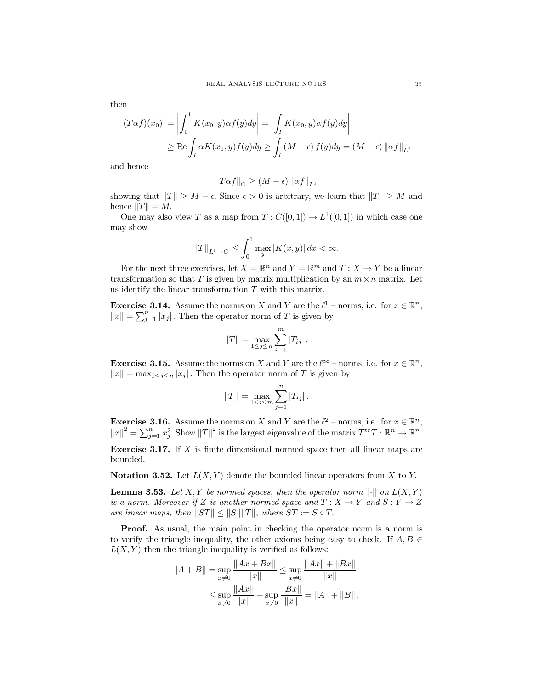then

$$
|(T\alpha f)(x_0)| = \left| \int_0^1 K(x_0, y)\alpha f(y)dy \right| = \left| \int_I K(x_0, y)\alpha f(y)dy \right|
$$
  
 
$$
\geq \text{Re}\int_I \alpha K(x_0, y)f(y)dy \geq \int_I (M - \epsilon) f(y)dy = (M - \epsilon) ||\alpha f||_{L^1}
$$

and hence

$$
\left\|T\alpha f\right\|_C\geq \left(M-\epsilon\right)\left\|\alpha f\right\|_{L^1}
$$

showing that  $||T|| \geq M - \epsilon$ . Since  $\epsilon > 0$  is arbitrary, we learn that  $||T|| \geq M$  and hence  $||T|| = M$ .

One may also view T as a map from  $T : C([0,1]) \to L^1([0,1])$  in which case one may show

$$
||T||_{L^1 \to C} \le \int_0^1 \max_y |K(x, y)| dx < \infty.
$$

For the next three exercises, let  $X = \mathbb{R}^n$  and  $Y = \mathbb{R}^m$  and  $T : X \to Y$  be a linear transformation so that T is given by matrix multiplication by an  $m \times n$  matrix. Let us identify the linear transformation  $T$  with this matrix.

**Exercise 3.14.** Assume the norms on X and Y are the  $\ell^1$  – norms, i.e. for  $x \in \mathbb{R}^n$ ,  $||x|| = \sum_{j=1}^{n} |x_j|$ . Then the operator norm of T is given by

$$
||T|| = \max_{1 \le j \le n} \sum_{i=1}^{m} |T_{ij}|.
$$

**Exercise 3.15.** Assume the norms on X and Y are the  $\ell^{\infty}$  – norms, i.e. for  $x \in \mathbb{R}^n$ ,  $||x|| = \max_{1 \leq j \leq n} |x_j|$ . Then the operator norm of T is given by

$$
||T|| = \max_{1 \le i \le m} \sum_{j=1}^{n} |T_{ij}|.
$$

**Exercise 3.16.** Assume the norms on X and Y are the  $\ell^2$  – norms, i.e. for  $x \in \mathbb{R}^n$ ,  $||x||^2 = \sum_{j=1}^n x_j^2$ . Show  $||T||^2$  is the largest eigenvalue of the matrix  $T^{tr}T : \mathbb{R}^n \to \mathbb{R}^n$ .

**Exercise 3.17.** If  $X$  is finite dimensional normed space then all linear maps are bounded.

**Notation 3.52.** Let  $L(X, Y)$  denote the bounded linear operators from X to Y.

**Lemma 3.53.** Let X, Y be normed spaces, then the operator norm  $\|\cdot\|$  on  $L(X, Y)$ is a norm. Moreover if Z is another normed space and  $T : X \to Y$  and  $S : Y \to Z$ are linear maps, then  $||ST|| \le ||S|| ||T||$ , where  $ST := S \circ T$ .

**Proof.** As usual, the main point in checking the operator norm is a norm is to verify the triangle inequality, the other axioms being easy to check. If  $A, B \in$  $L(X, Y)$  then the triangle inequality is verified as follows:

$$
||A + B|| = \sup_{x \neq 0} \frac{||Ax + Bx||}{||x||} \le \sup_{x \neq 0} \frac{||Ax|| + ||Bx||}{||x||}
$$
  

$$
\le \sup_{x \neq 0} \frac{||Ax||}{||x||} + \sup_{x \neq 0} \frac{||Bx||}{||x||} = ||A|| + ||B||.
$$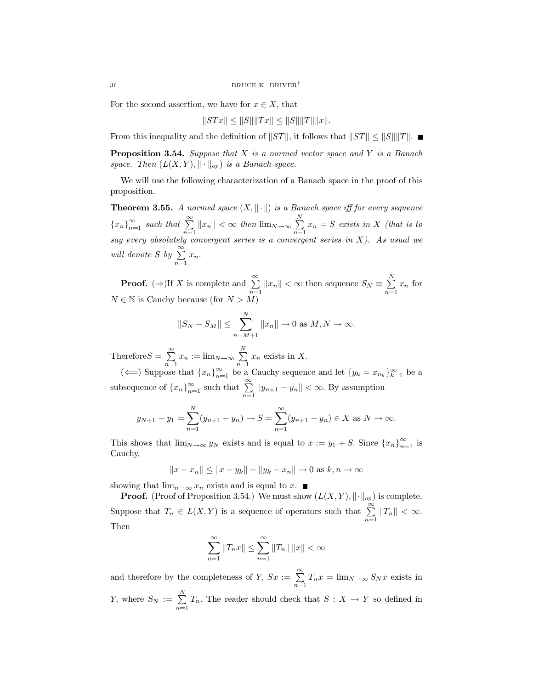For the second assertion, we have for  $x \in X$ , that

$$
||STx|| \le ||S|| ||Tx|| \le ||S|| ||T|| ||x||.
$$

From this inequality and the definition of  $||ST||$ , it follows that  $||ST|| \le ||S||||T||$ .

**Proposition 3.54.** Suppose that  $X$  is a normed vector space and  $Y$  is a Banach space. Then  $(L(X, Y), \|\cdot\|_{op})$  is a Banach space.

We will use the following characterization of a Banach space in the proof of this proposition.

**Theorem 3.55.** A normed space  $(X, \|\cdot\|)$  is a Banach space iff for every sequence  ${x_n}_{n=1}^{\infty}$  such that  $\sum_{n=1}^{\infty} ||x_n|| < \infty$  then  $\lim_{N \to \infty} \sum_{n=1}^{N} x_n = S$  exists in X (that is to say every absolutely convergent series is a convergent series in X). As usual we will denote S by  $\sum_{n=1}^{\infty} x_n$ .

**Proof.** ( $\Rightarrow$ )If X is complete and  $\sum_{n=1}^{\infty} ||x_n|| < \infty$  then sequence  $S_N \equiv \sum_{n=1}^N x_n$  for  $N \in \mathbb{N}$  is Cauchy because (for  $N > M$ )

$$
||S_N - S_M|| \le \sum_{n=M+1}^N ||x_n|| \to 0 \text{ as } M, N \to \infty.
$$

Therefore  $S = \sum_{n=1}^{\infty} x_n := \lim_{N \to \infty} \sum_{n=1}^{N} x_n$  exists in X.

( $\Longleftarrow$ ) Suppose that  $\{x_n\}_{n=1}^{\infty}$  be a Cauchy sequence and let  $\{y_k = x_{n_k}\}_{k=1}^{\infty}$  be a subsequence of  $\{x_n\}_{n=1}^{\infty}$  such that  $\sum_{n=1}^{\infty} ||y_{n+1} - y_n|| < \infty$ . By assumption

$$
y_{N+1} - y_1 = \sum_{n=1}^{N} (y_{n+1} - y_n) \to S = \sum_{n=1}^{\infty} (y_{n+1} - y_n) \in X \text{ as } N \to \infty.
$$

This shows that  $\lim_{N\to\infty} y_N$  exists and is equal to  $x := y_1 + S$ . Since  $\{x_n\}_{n=1}^{\infty}$  is Cauchy,

 $||x - x_n|| \le ||x - y_k|| + ||y_k - x_n|| \to 0$  as  $k, n \to \infty$ 

showing that  $\lim_{n\to\infty} x_n$  exists and is equal to x.  $\blacksquare$ 

**Proof.** (Proof of Proposition 3.54.) We must show  $(L(X, Y), \|\cdot\|_{op})$  is complete. Suppose that  $T_n \in L(X,Y)$  is a sequence of operators such that  $\sum_{n=1}^{\infty} ||T_n|| < \infty$ . Then

$$
\sum_{n=1}^{\infty} ||T_n x|| \le \sum_{n=1}^{\infty} ||T_n|| \, ||x|| < \infty
$$

and therefore by the completeness of Y,  $S_x := \sum_{n=1}^{\infty} T_n x = \lim_{N \to \infty} S_N x$  exists in Y, where  $S_N := \sum_{n=1}^N T_n$ . The reader should check that  $S : X \to Y$  so defined in

36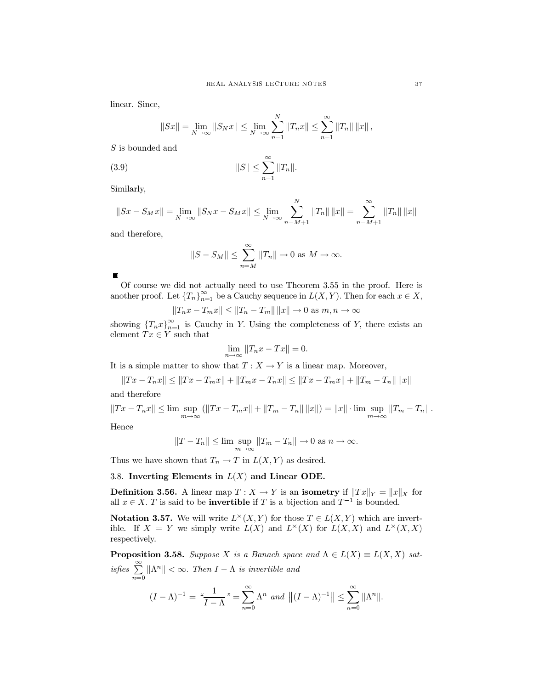linear. Since,

$$
||Sx|| = \lim_{N \to \infty} ||S_N x|| \le \lim_{N \to \infty} \sum_{n=1}^{N} ||T_n x|| \le \sum_{n=1}^{\infty} ||T_n|| ||x||,
$$

 $S$  is bounded and

(3.9) 
$$
||S|| \leq \sum_{n=1}^{\infty} ||T_n||
$$

Similarly,

$$
||Sx - S_Mx|| = \lim_{N \to \infty} ||S_Nx - S_Mx|| \le \lim_{N \to \infty} \sum_{n=M+1}^N ||T_n|| \, ||x|| = \sum_{n=M+1}^{\infty} ||T_n|| \, ||x||
$$

and therefore,

$$
||S - S_M|| \le \sum_{n=M}^{\infty} ||T_n|| \to 0 \text{ as } M \to \infty.
$$

Of course we did not actually need to use Theorem 3.55 in the proof. Here is another proof. Let  $\{T_n\}_{n=1}^{\infty}$  be a Cauchy sequence in  $L(X, Y)$ . Then for each  $x \in X$ ,

$$
||T_n x - T_m x|| \le ||T_n - T_m|| ||x|| \to 0
$$
 as  $m, n \to \infty$ 

showing  ${T_nx}_{n=1}^{\infty}$  is Cauchy in Y. Using the completeness of Y, there exists an element  $Tx \in Y$  such that

$$
\lim_{n \to \infty} ||T_n x - Tx|| = 0
$$

It is a simple matter to show that  $T: X \to Y$  is a linear map. Moreover,

$$
||Tx - T_n x|| \le ||Tx - T_m x|| + ||T_m x - T_n x|| \le ||Tx - T_m x|| + ||T_m - T_n|| ||x||
$$

and therefore

$$
||Tx - T_nx|| \le \limsup_{m \to \infty} (||Tx - T_mx|| + ||T_m - T_n|| ||x||) = ||x|| \cdot \limsup_{m \to \infty} ||T_m - T_n||
$$

Hence

$$
|T - T_n|| \le \limsup_{m \to \infty} ||T_m - T_n|| \to 0 \text{ as } n \to \infty.
$$

Thus we have shown that  $T_n \to T$  in  $L(X, Y)$  as desired.

3.8. Inverting Elements in  $L(X)$  and Linear ODE.

**Definition 3.56.** A linear map  $T: X \to Y$  is an **isometry** if  $||Tx||_Y = ||x||_X$  for all  $x \in X$ . T is said to be **invertible** if T is a bijection and  $T^{-1}$  is bounded.

**Notation 3.57.** We will write  $L^{\times}(X, Y)$  for those  $T \in L(X, Y)$  which are invertible. If  $X = Y$  we simply write  $L(X)$  and  $L^{\times}(X)$  for  $L(X, X)$  and  $L^{\times}(X, X)$ respectively.

**Proposition 3.58.** Suppose X is a Banach space and  $\Lambda \in L(X) \equiv L(X,X)$  satisfies  $\sum_{n=0}^{\infty} ||\Lambda^n|| < \infty$ . Then  $I - \Lambda$  is invertible and  $\left($ 

$$
(I - \Lambda)^{-1} = \frac{1}{I - \Lambda} \, m = \sum_{n=0}^{\infty} \Lambda^n \, \text{ and } \, \left\| (I - \Lambda)^{-1} \right\| \le \sum_{n=0}^{\infty} \left\| \Lambda^n \right\|
$$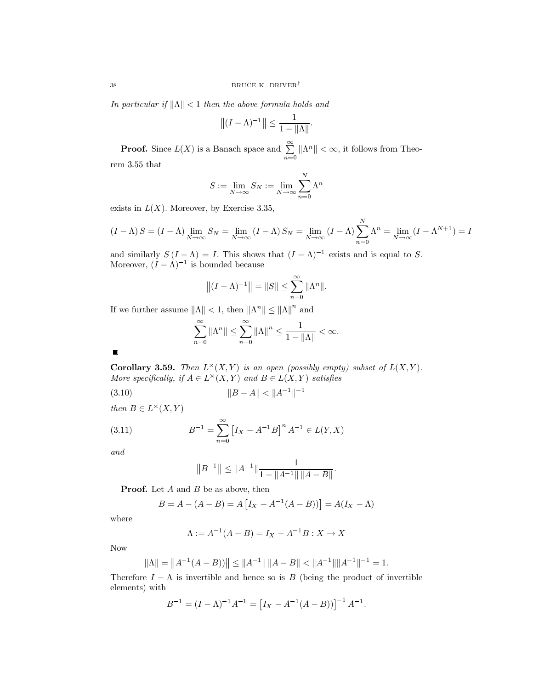In particular if  $\|\Lambda\| < 1$  then the above formula holds and

$$
||(I-\Lambda)^{-1}|| \leq \frac{1}{1-||\Lambda||}.
$$

**Proof.** Since  $L(X)$  is a Banach space and  $\sum_{n=0}^{\infty} ||\Lambda^n|| < \infty$ , it follows from Theo $rem\,3.55\;that$ 

$$
S:=\lim_{N\to\infty}S_N:=\lim_{N\to\infty}\sum_{n=0}^N\Lambda^n
$$

exists in  $L(X)$ . Moreover, by Exercise 3.35,

$$
(I - \Lambda) S = (I - \Lambda) \lim_{N \to \infty} S_N = \lim_{N \to \infty} (I - \Lambda) S_N = \lim_{N \to \infty} (I - \Lambda) \sum_{n=0}^{N} \Lambda^n = \lim_{N \to \infty} (I - \Lambda^{N+1}) = I
$$

and similarly  $S(I - \Lambda) = I$ . This shows that  $(I - \Lambda)^{-1}$  exists and is equal to S.<br>Moreover,  $(I - \Lambda)^{-1}$  is bounded because

$$
||(I - \Lambda)^{-1}|| = ||S|| \le \sum_{n=0}^{\infty} ||\Lambda^n||.
$$

If we further assume  $\|\Lambda\| < 1$  then  $\|\Lambda^n\| \leq {\|\Lambda\|}^n$  and

$$
\sum_{n=0}^{\infty} \|\Lambda^n\| \le \sum_{n=0}^{\infty} \|\Lambda\|^n \le \frac{1}{1 - \|\Lambda\|} < \infty.
$$

 $\blacksquare$ 

**Corollary 3.59.** Then  $L^{\times}(X, Y)$  is an open (possibly empty) subset of  $L(X, Y)$ . More specifically, if  $A\in L^\times(X,Y)$  and  $B\in L(X,Y)$  satisfies

$$
(3.10)\t\t\t\t||B - A|| < ||A^{-1}||^{-1}
$$

then  $B \in L^{\times}(X, Y)$ 

(3.11) 
$$
B^{-1} = \sum_{n=0}^{\infty} \left[ I_X - A^{-1} B \right]^n A^{-1} \in L(Y, X)
$$

and

$$
||B^{-1}|| \le ||A^{-1}|| \frac{1}{1 - ||A^{-1}|| ||A - B||}.
$$

**Proof.** Let  $A$  and  $B$  be as above, then

$$
B = A - (A - B) = A [I_X - A^{-1}(A - B)] = A(I_X - \Lambda)
$$

where

$$
\Lambda := A^{-1}(A - B) = I_X - A^{-1}B : X \to X
$$

**Now** 

$$
||\Lambda|| = ||A^{-1}(A - B))|| \le ||A^{-1}|| ||A - B|| < ||A^{-1}|| ||A^{-1}||^{-1} = 1
$$

Therefore  $I - \Lambda$  is invertible and hence so is B (being the product of invertible elements) with

$$
B^{-1} = (I - \Lambda)^{-1} A^{-1} = [I_X - A^{-1} (A - B))]^{-1} A^{-1}.
$$

38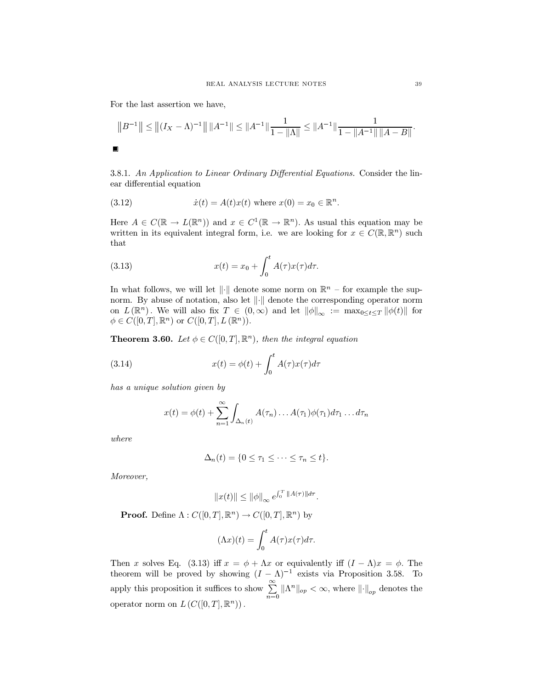For the last assertion we have,

$$
||B^{-1}|| \le ||(I_X - \Lambda)^{-1}|| ||A^{-1}|| \le ||A^{-1}|| \frac{1}{1 - ||\Lambda||} \le ||A^{-1}|| \frac{1}{1 - ||A^{-1}|| ||A - B||}
$$

3.8.1. An Application to Linear Ordinary Differential Equations. Consider the linear differential equation

(3.12) 
$$
\dot{x}(t) = A(t)x(t) \text{ where } x(0) = x_0 \in \mathbb{R}^n.
$$

Here  $A \in C(\mathbb{R} \to L(\mathbb{R}^n))$  and  $x \in C^1(\mathbb{R} \to \mathbb{R}^n)$ . As usual this equation may be written in its equivalent integral form, i.e. we are looking for  $x \in C(\mathbb{R}, \mathbb{R}^n)$  such that

(3.13) 
$$
x(t) = x_0 + \int_0^t A(\tau)x(\tau)d\tau.
$$

In what follows, we will let ||.|| denote some norm on  $\mathbb{R}^n$  – for example the supnorm. By abuse of notation, also let  $\|\cdot\|$  denote the corresponding operator norm on  $L(\mathbb{R}^n)$ . We will also fix  $T \in (0,\infty)$  and let  $\|\phi\|_{\infty} := \max_{0 \leq t \leq T} \|\phi(t)\|$  for  $\phi \in C([0,T], \mathbb{R}^n)$  or  $C([0,T], L(\mathbb{R}^n))$ .

**Theorem 3.60.** Let  $\phi \in C([0,T], \mathbb{R}^n)$ , then the integral equation

(3.14) 
$$
x(t) = \phi(t) + \int_0^t A(\tau)x(\tau)d\tau
$$

has a unique solution given by

$$
x(t) = \phi(t) + \sum_{n=1}^{\infty} \int_{\Delta_n(t)} A(\tau_n) \dots A(\tau_1) \phi(\tau_1) d\tau_1 \dots d\tau_n
$$

where

$$
\Delta_n(t) = \{0 \leq \tau_1 \leq \cdots \leq \tau_n \leq t\}.
$$

Moreover,

$$
||x(t)|| \le ||\phi||_{\infty} e^{\int_0^T ||A(\tau)||d\tau}.
$$

**Proof.** Define  $\Lambda: C([0,T], \mathbb{R}^n) \to C([0,T], \mathbb{R}^n)$  by

$$
(\Lambda x)(t) = \int_0^t A(\tau)x(\tau)d\tau.
$$

Then x solves Eq. (3.13) iff  $x = \phi + \Lambda x$  or equivalently iff  $(I - \Lambda)x = \phi$ . The theorem will be proved by showing  $(I - \Lambda)^{-1}$  exists via Proposition 3.58. To apply this proposition it suffices to show  $\sum_{n=0}^{\infty} ||\Lambda^n||_{op} < \infty$ , where  $||\cdot||_{op}$  denotes the operator norm on  $L(C([0,T],\mathbb{R}^n))$ .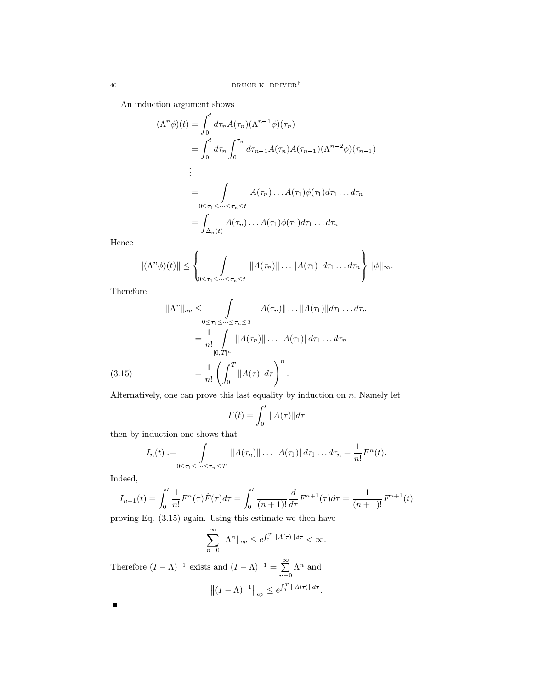An induction argument shows

$$
(\Lambda^n \phi)(t) = \int_0^t d\tau_n A(\tau_n) (\Lambda^{n-1} \phi)(\tau_n)
$$
  
\n
$$
= \int_0^t d\tau_n \int_0^{\tau_n} d\tau_{n-1} A(\tau_n) A(\tau_{n-1}) (\Lambda^{n-2} \phi)(\tau_{n-1})
$$
  
\n:  
\n:  
\n
$$
= \int_{0 \le \tau_1 \le \cdots \le \tau_n \le t} A(\tau_n) \ldots A(\tau_1) \phi(\tau_1) d\tau_1 \ldots d\tau_n
$$
  
\n
$$
= \int_{\Delta_n(t)} A(\tau_n) \ldots A(\tau_1) \phi(\tau_1) d\tau_1 \ldots d\tau_n.
$$

Hence

$$
\|(\Lambda^n \phi)(t)\| \leq \left\{\int_{0 \leq \tau_1 \leq \cdots \leq \tau_n \leq t} \|A(\tau_n)\| \cdots \|A(\tau_1)\| d\tau_1 \cdots d\tau_n\right\} \|\phi\|_{\infty}.
$$

Therefore

$$
\|\Lambda^n\|_{op} \leq \int_{0 \leq \tau_1 \leq \dots \leq \tau_n \leq T} \|A(\tau_n)\| \dots \|A(\tau_1)\| d\tau_1 \dots d\tau_n
$$
  

$$
= \frac{1}{n!} \int_{[0,T]^n} \|A(\tau_n)\| \dots \|A(\tau_1)\| d\tau_1 \dots d\tau_n
$$
  
(3.15)  

$$
= \frac{1}{n!} \left( \int_0^T \|A(\tau)\| d\tau \right)^n.
$$

Alternatively, one can prove this last equality by induction on  $n$ . Namely let

$$
F(t) = \int_0^t ||A(\tau)||d\tau
$$

then by induction one shows that

$$
I_n(t) := \int\limits_{0 \leq \tau_1 \leq \cdots \leq \tau_n \leq T} ||A(\tau_n)|| \ldots ||A(\tau_1)|| d\tau_1 \ldots d\tau_n = \frac{1}{n!} F^n(t).
$$

Indeed,

$$
I_{n+1}(t) = \int_0^t \frac{1}{n!} F^n(\tau) \dot{F}(\tau) d\tau = \int_0^t \frac{1}{(n+1)!} \frac{d}{d\tau} F^{n+1}(\tau) d\tau = \frac{1}{(n+1)!} F^{n+1}(t)
$$

proving Eq.  $(3.15)$  again. Using this estimate we then have

$$
\sum_{n=0}^{\infty} \|\Lambda^n\|_{op} \le e^{\int_0^T \|A(\tau)\|d\tau} < \infty.
$$

Therefore  $(I - \Lambda)^{-1}$  exists and  $(I - \Lambda)^{-1} = \sum_{n=0}^{\infty} \Lambda^n$  and  $||(I - \Lambda)^{-1}||_{op} \le e^{\int_0^T ||A(\tau)||d\tau}.$  $\blacksquare$ 

 $\overline{40}$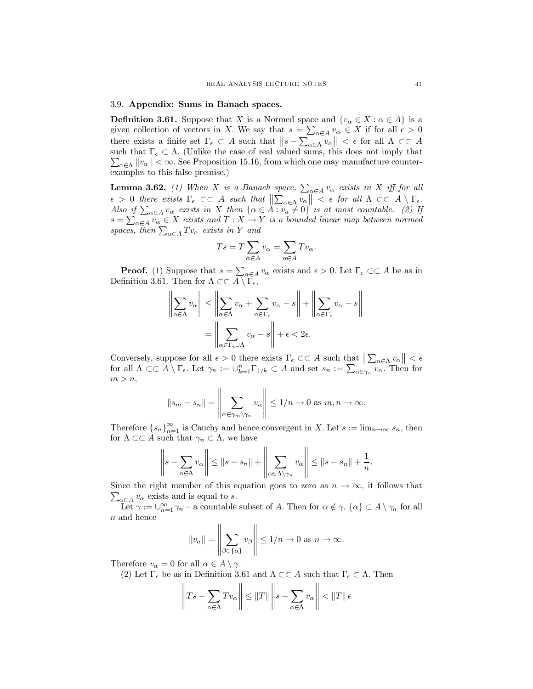## 3.9. Appendix: Sums in Banach spaces.

**Definition 3.61.** Suppose that X is a Normed space and  $\{v_{\alpha} \in X : \alpha \in A\}$  is a given collection of vectors in X. We say that  $s = \sum_{\alpha \in A} v_{\alpha} \in X$  if for all  $\epsilon > 0$ there exists a finite set  $\Gamma_{\epsilon} \subset A$  such that  $||s - \sum_{\alpha \in \Lambda} v_{\alpha}|| < \epsilon$  for all  $\Lambda \subset \subset A$ such that  $\Gamma_{\epsilon} \subset \Lambda$ . (Unlike the case of real valued sums, this does not imply that  $\sum_{\alpha \in \Lambda} ||v_{\alpha}|| < \infty$ . See Proposition 15.16, from which one may manufacture counterexamples to this false premise.)

**Lemma 3.62.** (1) When X is a Banach space,  $\sum_{\alpha \in A} v_{\alpha}$  exists in X iff for all  $\epsilon > 0$  there exists  $\Gamma_{\epsilon} \subset\subset A$  such that  $\|\sum_{\alpha \in \Lambda} v_{\alpha}\| < \epsilon$  for all  $\Lambda \subset\subset A \setminus \Gamma_{\epsilon}$ .<br>
Also if  $\sum_{\alpha \in A} v_{\alpha}$  exists in X then  $\{\alpha \in A : v_{\alpha} \neq 0\}$  is at most countable. (2) If  $s = \sum_{\alpha \in A} v_{\alpha} \in X$  exists an spaces, then  $\sum_{\alpha \in A} T v_{\alpha}$  exists in Y and

$$
Ts = T \sum_{\alpha \in A} v_{\alpha} = \sum_{\alpha \in A} Tv_{\alpha}.
$$

**Proof.** (1) Suppose that  $s = \sum_{\alpha \in A} v_{\alpha}$  exists and  $\epsilon > 0$ . Let  $\Gamma_{\epsilon} \subset \subset A$  be as in Definition 3.61. Then for  $\Lambda \subset\subset \overline{A\setminus \Gamma_{\epsilon}}$ ,

$$
\left\| \sum_{\alpha \in \Lambda} v_{\alpha} \right\| \le \left\| \sum_{\alpha \in \Lambda} v_{\alpha} + \sum_{\alpha \in \Gamma_{\epsilon}} v_{\alpha} - s \right\| + \left\| \sum_{\alpha \in \Gamma_{\epsilon}} v_{\alpha} - s \right\|
$$

$$
= \left\| \sum_{\alpha \in \Gamma_{\epsilon} \cup \Lambda} v_{\alpha} - s \right\| + \epsilon < 2\epsilon.
$$

Conversely, suppose for all  $\epsilon > 0$  there exists  $\Gamma_{\epsilon} \subset\subset A$  such that  $\left\| \sum_{\alpha \in \Lambda} v_{\alpha} \right\| < \epsilon$  for all  $\Lambda \subset\subset A \setminus \Gamma_{\epsilon}$ . Let  $\gamma_n := \cup_{k=1}^n \Gamma_{1/k} \subset A$  and set  $s_n := \sum_{\alpha \in \gamma_n} v_{\alpha}$ . Then for  $m > n$ ,  $\ddotsc$ 

$$
||s_m - s_n|| = \left\| \sum_{\alpha \in \gamma_m \setminus \gamma_n} v_{\alpha} \right\| \leq 1/n \to 0 \text{ as } m, n \to \infty.
$$

Therefore  $\{s_n\}_{n=1}^{\infty}$  is Cauchy and hence convergent in X. Let  $s := \lim_{n \to \infty} s_n$ , then for  $\Lambda \subset\subset A$  such that  $\gamma_n \subset \Lambda$ , we have

$$
\left\|s - \sum_{\alpha \in \Lambda} v_{\alpha}\right\| \leq \|s - s_n\| + \left\|\sum_{\alpha \in \Lambda \setminus \gamma_n} v_{\alpha}\right\| \leq \|s - s_n\| + \frac{1}{n}.
$$

Since the right member of this equation goes to zero as  $n \to \infty$ , it follows that  $\sum_{\alpha \in A} v_{\alpha}$  exists and is equal to s.

Let  $\gamma := \bigcup_{n=1}^{\infty} \gamma_n$  – a countable subset of A. Then for  $\alpha \notin \gamma$ ,  $\{\alpha\} \subset A \setminus \gamma_n$  for all  $n$  and hence

$$
||v_a|| = \left\| \sum_{\beta \in \{\alpha\}} v_\beta \right\| \le 1/n \to 0 \text{ as } n \to \infty.
$$

Therefore  $v_{\alpha} = 0$  for all  $\alpha \in A \setminus \gamma$ .

(2) Let  $\Gamma_{\epsilon}$  be as in Definition 3.61 and  $\Lambda \subset\subset A$  such that  $\Gamma_{\epsilon} \subset \Lambda$ . Then

$$
\left\|Ts - \sum_{\alpha \in \Lambda} Tv_{\alpha} \right\| \leq ||T|| \left\|s - \sum_{\alpha \in \Lambda} v_{\alpha} \right\| < ||T|| \epsilon
$$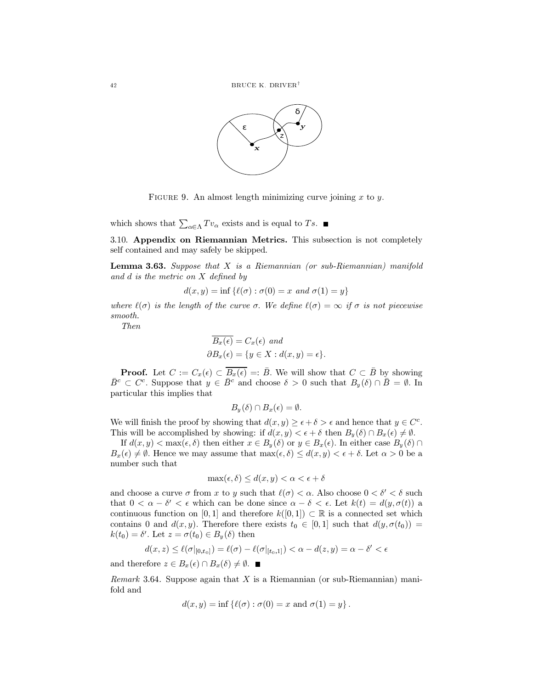

FIGURE 9. An almost length minimizing curve joining  $x$  to  $y$ .

which shows that  $\sum_{\alpha \in \Lambda} T v_{\alpha}$  exists and is equal to Ts.

3.10. Appendix on Riemannian Metrics. This subsection is not completely self contained and may safely be skipped.

**Lemma 3.63.** Suppose that  $X$  is a Riemannian (or sub-Riemannian) manifold and  $d$  is the metric on  $X$  defined by

$$
d(x, y) = \inf \{ \ell(\sigma) : \sigma(0) = x \text{ and } \sigma(1) = y \}
$$

where  $\ell(\sigma)$  is the length of the curve  $\sigma$ . We define  $\ell(\sigma) = \infty$  if  $\sigma$  is not piecewise smooth.

Then

$$
\overline{B_x(\epsilon)} = C_x(\epsilon) \text{ and}
$$
  

$$
\partial B_x(\epsilon) = \{y \in X : d(x, y) = \epsilon\}
$$

**Proof.** Let  $C := C_x(\epsilon) \subset \overline{B_x(\epsilon)} =: \overline{B}$ . We will show that  $C \subset \overline{B}$  by showing  $\bar{B}^c \subset C^c$ . Suppose that  $y \in \bar{B}^c$  and choose  $\delta > 0$  such that  $B_y(\delta) \cap \bar{B} = \emptyset$ . In particular this implies that

$$
B_u(\delta) \cap B_x(\epsilon) = \emptyset.
$$

We will finish the proof by showing that  $d(x, y) \ge \epsilon + \delta > \epsilon$  and hence that  $y \in C^c$ . This will be accomplished by showing: if  $d(x, y) < \epsilon + \delta$  then  $B_y(\delta) \cap B_x(\epsilon) \neq \emptyset$ .

If  $d(x, y) < \max(\epsilon, \delta)$  then either  $x \in B_u(\delta)$  or  $y \in B_x(\epsilon)$ . In either case  $B_u(\delta) \cap$  $B_x(\epsilon) \neq \emptyset$ . Hence we may assume that  $\max(\epsilon, \delta) \leq d(x, y) < \epsilon + \delta$ . Let  $\alpha > 0$  be a number such that

$$
\max(\epsilon, \delta) \le d(x, y) < \alpha < \epsilon + \delta
$$

and choose a curve  $\sigma$  from x to y such that  $\ell(\sigma) < \alpha$ . Also choose  $0 < \delta' < \delta$  such that  $0 < \alpha - \delta' < \epsilon$  which can be done since  $\alpha - \delta < \epsilon$ . Let  $k(t) = d(y, \sigma(t))$  a continuous function on [0,1] and therefore  $k([0,1]) \subset \mathbb{R}$  is a connected set which contains 0 and  $d(x, y)$ . Therefore there exists  $t_0 \in [0, 1]$  such that  $d(y, \sigma(t_0)) =$  $k(t_0) = \delta'$ . Let  $z = \sigma(t_0) \in B_y(\delta)$  then

$$
d(x,z)\leq \ell(\sigma|_{[0,t_0]})=\ell(\sigma)-\ell(\sigma|_{[t_0,1]})<\alpha-d(z,y)=\alpha-\delta'<\epsilon
$$

and therefore  $z \in B_x(\epsilon) \cap B_x(\delta) \neq \emptyset$ .

*Remark* 3.64. Suppose again that  $X$  is a Riemannian (or sub-Riemannian) manifold and

$$
d(x, y) = \inf \{ \ell(\sigma) : \sigma(0) = x \text{ and } \sigma(1) = y \}.
$$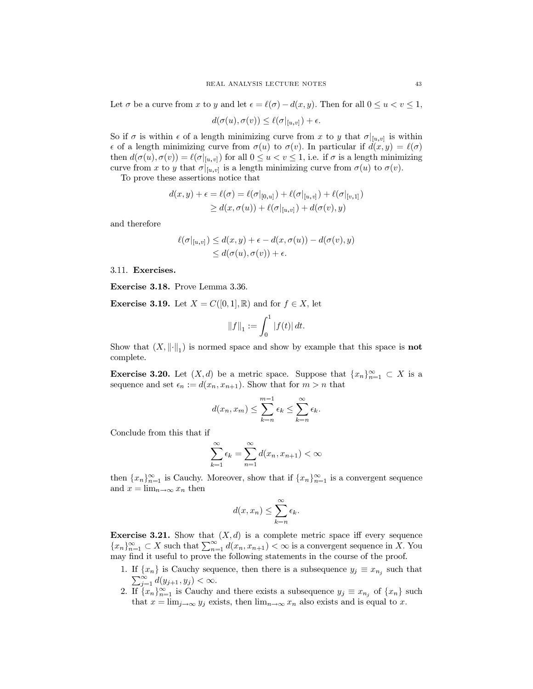Let  $\sigma$  be a curve from x to y and let  $\epsilon = \ell(\sigma) - d(x, y)$ . Then for all  $0 \le u < v \le 1$ ,

$$
d(\sigma(u),\sigma(v))\leq \ell(\sigma|_{[u,v]})+\epsilon.
$$

So if  $\sigma$  is within  $\epsilon$  of a length minimizing curve from x to y that  $\sigma|_{[u,v]}$  is within  $\epsilon$  of a length minimizing curve from  $\sigma(u)$  to  $\sigma(v)$ . In particular if  $d(x, y) = \ell(\sigma)$ then  $d(\sigma(u), \sigma(v)) = \ell(\sigma|_{[u,v]})$  for all  $0 \leq u < v \leq 1$ , i.e. if  $\sigma$  is a length minimizing curve from x to y that  $\sigma|_{[u,v]}$  is a length minimizing curve from  $\sigma(u)$  to  $\sigma(v)$ .

To prove these assertions notice that

$$
d(x,y) + \epsilon = \ell(\sigma) = \ell(\sigma|_{[0,u]}) + \ell(\sigma|_{[u,v]}) + \ell(\sigma|_{[v,1]})
$$
  
\n
$$
\geq d(x, \sigma(u)) + \ell(\sigma|_{[u,v]}) + d(\sigma(v), y)
$$

and therefore

$$
\ell(\sigma|_{[u,v]}) \leq d(x,y) + \epsilon - d(x,\sigma(u)) - d(\sigma(v),y)
$$
  

$$
\leq d(\sigma(u),\sigma(v)) + \epsilon.
$$

#### 3.11. Exercises.

Exercise 3.18. Prove Lemma 3.36.

**Exercise 3.19.** Let  $X = C([0, 1], \mathbb{R})$  and for  $f \in X$ , let

$$
||f||_1 := \int_0^1 |f(t)| dt.
$$

Show that  $(X, \|\cdot\|_1)$  is normed space and show by example that this space is **not** complete.

**Exercise 3.20.** Let  $(X, d)$  be a metric space. Suppose that  $\{x_n\}_{n=1}^{\infty} \subset X$  is a sequence and set  $\epsilon_n := d(x_n, x_{n+1})$ . Show that for  $m > n$  that

$$
d(x_n, x_m) \leq \sum_{k=n}^{m-1} \epsilon_k \leq \sum_{k=n}^{\infty} \epsilon_k.
$$

Conclude from this that if

$$
\sum_{k=1}^{\infty} \epsilon_k = \sum_{n=1}^{\infty} d(x_n, x_{n+1}) < \infty
$$

then  $\{x_n\}_{n=1}^{\infty}$  is Cauchy. Moreover, show that if  $\{x_n\}_{n=1}^{\infty}$  is a convergent sequence and  $x = \lim_{n \to \infty} x_n$  then

$$
d(x, x_n) \leq \sum_{k=n}^{\infty} \epsilon_k.
$$

**Exercise 3.21.** Show that  $(X, d)$  is a complete metric space iff every sequence  ${x_n}_{n=1}^{\infty} \subset X$  such that  $\sum_{n=1}^{\infty} d(x_n, x_{n+1}) < \infty$  is a convergent sequence in X. You may find it useful to prove the following statements in the course of the proof.

- 1. If  $\{x_n\}$  is Cauchy sequence, then there is a subsequence  $y_j \equiv x_{n_j}$  such that  $\sum_{i=1}^{\infty} d(y_{j+1}, y_j) < \infty$ .  $\sum_{j=1}^{\infty} d(y_{j+1}, y_j) < \infty.$
- 2. If  $\{x_n\}_{n=1}^{\infty}$  is Cauchy and there exists a subsequence  $y_j \equiv x_{n_j}$  of  $\{x_n\}$  such that  $x = \lim_{j \to \infty} y_j$  exists, then  $\lim_{n \to \infty} x_n$  also exists and is equal to x.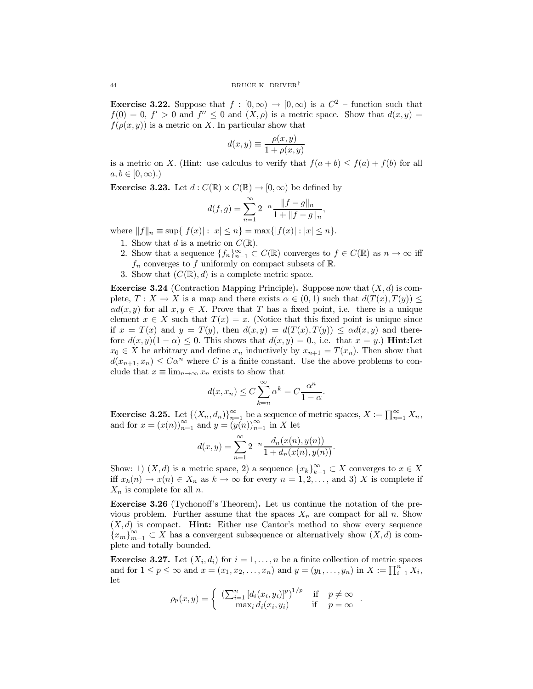**Exercise 3.22.** Suppose that  $f : [0, \infty) \to [0, \infty)$  is a  $C^2$  - function such that  $f(0) = 0, f' > 0$  and  $f'' \le 0$  and  $(X, \rho)$  is a metric space. Show that  $d(x, y) =$  $f(\rho(x, y))$  is a metric on X. In particular show that

$$
d(x, y) \equiv \frac{\rho(x, y)}{1 + \rho(x, y)}
$$

is a metric on X. (Hint: use calculus to verify that  $f(a + b) \le f(a) + f(b)$  for all  $a, b \in [0, \infty)$ .

**Exercise 3.23.** Let  $d: C(\mathbb{R}) \times C(\mathbb{R}) \to [0, \infty)$  be defined by

$$
d(f,g) = \sum_{n=1}^{\infty} 2^{-n} \frac{\|f-g\|_n}{1 + \|f-g\|_n},
$$

where  $||f||_n \equiv \sup\{|f(x)| : |x| \leq n\} = \max\{|f(x)| : |x| \leq n\}.$ 

- 1. Show that d is a metric on  $C(\mathbb{R})$ .
- 2. Show that a sequence  $\{f_n\}_{n=1}^{\infty} \subset C(\mathbb{R})$  converges to  $f \in C(\mathbb{R})$  as  $n \to \infty$  iff  $f_n$  converges to f uniformly on compact subsets of R.
- 3. Show that  $(C(\mathbb{R}), d)$  is a complete metric space.

**Exercise 3.24** (Contraction Mapping Principle). Suppose now that  $(X, d)$  is complete,  $T: X \to X$  is a map and there exists  $\alpha \in (0,1)$  such that  $d(T(x), T(y)) \leq$  $\alpha d(x, y)$  for all  $x, y \in X$ . Prove that T has a fixed point, i.e. there is a unique element  $x \in X$  such that  $T(x) = x$ . (Notice that this fixed point is unique since if  $x = T(x)$  and  $y = T(y)$ , then  $d(x,y) = d(T(x),T(y)) \leq \alpha d(x,y)$  and therefore  $d(x, y)(1 - \alpha) \leq 0$ . This shows that  $d(x, y) = 0$ , i.e. that  $x = y$ . **Hint:** Let  $x_0 \in X$  be arbitrary and define  $x_n$  inductively by  $x_{n+1} = T(x_n)$ . Then show that  $d(x_{n+1},x_n) \leq C\alpha^n$  where C is a finite constant. Use the above problems to conclude that  $x \equiv \lim_{n \to \infty} x_n$  exists to show that

$$
d(x, x_n) \le C \sum_{k=n}^{\infty} \alpha^k = C \frac{\alpha^n}{1 - \alpha}.
$$

**Exercise 3.25.** Let  $\{(X_n, d_n)\}_{n=1}^{\infty}$  be a sequence of metric spaces,  $X := \prod_{n=1}^{\infty} X_n$ , and for  $x = (x(n))_{n=1}^{\infty}$  and  $y = (y(n))_{n=1}^{\infty}$  in X let

$$
d(x,y) = \sum_{n=1}^{\infty} 2^{-n} \frac{d_n(x(n), y(n))}{1 + d_n(x(n), y(n))}
$$

Show: 1)  $(X, d)$  is a metric space, 2) a sequence  $\{x_k\}_{k=1}^{\infty} \subset X$  converges to  $x \in X$ iff  $x_k(n) \to x(n) \in X_n$  as  $k \to \infty$  for every  $n = 1, 2, \ldots$ , and 3) X is complete if  $X_n$  is complete for all n.

**Exercise 3.26** (Tychonoff's Theorem). Let us continue the notation of the previous problem. Further assume that the spaces  $X_n$  are compact for all n. Show  $(X, d)$  is compact. **Hint:** Either use Cantor's method to show every sequence  ${x_m}_{m=1}^{\infty} \subset X$  has a convergent subsequence or alternatively show  $(X, d)$  is complete and totally bounded.

**Exercise 3.27.** Let  $(X_i, d_i)$  for  $i = 1, ..., n$  be a finite collection of metric spaces and for  $1 \le p \le \infty$  and  $x = (x_1, x_2, ..., x_n)$  and  $y = (y_1, ..., y_n)$  in  $X := \prod_{i=1}^n X_i$ , let

$$
\rho_p(x,y) = \begin{cases} \left( \sum_{i=1}^n \left[ d_i(x_i, y_i) \right]^p \right)^{1/p} & \text{if } p \neq \infty \\ \max_i d_i(x_i, y_i) & \text{if } p = \infty \end{cases}
$$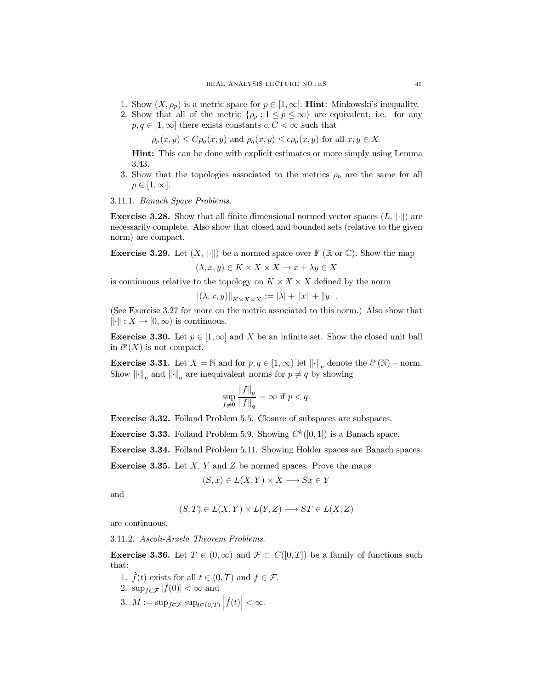- 1. Show  $(X, \rho_p)$  is a metric space for  $p \in [1, \infty]$ . **Hint**: Minkowski's inequality.
- 2. Show that all of the metric  $\{\rho_p: 1 \leq p \leq \infty\}$  are equivalent, i.e. for any  $p, q \in [1, \infty]$  there exists constants  $c, C < \infty$  such that

 $\rho_p(x, y) \le C \rho_q(x, y)$  and  $\rho_q(x, y) \le c \rho_p(x, y)$  for all  $x, y \in X$ .

**Hint:** This can be done with explicit estimates or more simply using Lemma 3.43.

3. Show that the topologies associated to the metrics  $\rho_p$  are the same for all  $p\in[1,\infty].$ 

3.11.1. Banach Space Problems.

**Exercise 3.28.** Show that all finite dimensional normed vector spaces  $(L, \|\cdot\|)$  are necessarily complete. Also show that closed and bounded sets (relative to the given norm) are compact.

**Exercise 3.29.** Let  $(X, \|\cdot\|)$  be a normed space over  $\mathbb{F}(\mathbb{R} \text{ or } \mathbb{C})$ . Show the map

$$
(\lambda, x, y) \in K \times X \times X \to x + \lambda y \in X
$$

is continuous relative to the topology on  $K \times X \times X$  defined by the norm

$$
\|(\lambda, x, y)\|_{K \times X \times X} := |\lambda| + \|x\| + \|y\|.
$$

(See Exercise 3.27 for more on the metric associated to this norm.) Also show that  $\|\cdot\|: X \to [0,\infty)$  is continuous.

**Exercise 3.30.** Let  $p \in [1,\infty]$  and X be an infinite set. Show the closed unit ball in  $\ell^p(X)$  is not compact.

**Exercise 3.31.** Let  $X = \mathbb{N}$  and for  $p, q \in [1, \infty)$  let  $\|\cdot\|_p$  denote the  $\ell^p(\mathbb{N})$  – norm. Show  $\lVert \cdot \rVert_p$  and  $\lVert \cdot \rVert_q$  are inequivalent norms for  $p \neq q$  by showing

$$
\sup_{f\neq 0} \frac{\|f\|_p}{\|f\|_q} = \infty \text{ if } p < q.
$$

Exercise 3.32. Folland Problem 5.5. Closure of subspaces are subspaces.

**Exercise 3.33.** Folland Problem 5.9. Showing  $C^k([0,1])$  is a Banach space.

**Exercise 3.34.** Folland Problem 5.11. Showing Holder spaces are Banach spaces.

**Exercise 3.35.** Let X, Y and Z be normed spaces. Prove the maps

$$
(S, x) \in L(X, Y) \times X \longrightarrow Sx \in Y
$$

and

$$
(S,T) \in L(X,Y) \times L(Y,Z) \longrightarrow ST \in L(X,Z)
$$

are continuous.

3.11.2. Ascoli-Arzela Theorem Problems.

**Exercise 3.36.** Let  $T \in (0,\infty)$  and  $\mathcal{F} \subset C([0,T])$  be a family of functions such that:

- 1.  $f(t)$  exists for all  $t \in (0,T)$  and  $f \in \mathcal{F}$ .
- 2.  $\sup_{f \in \mathcal{F}} |f(0)| < \infty$  and
- 3.  $M := \sup_{f \in \mathcal{F}} \sup_{t \in (0,T)} |\dot{f}(t)| < \infty$ .